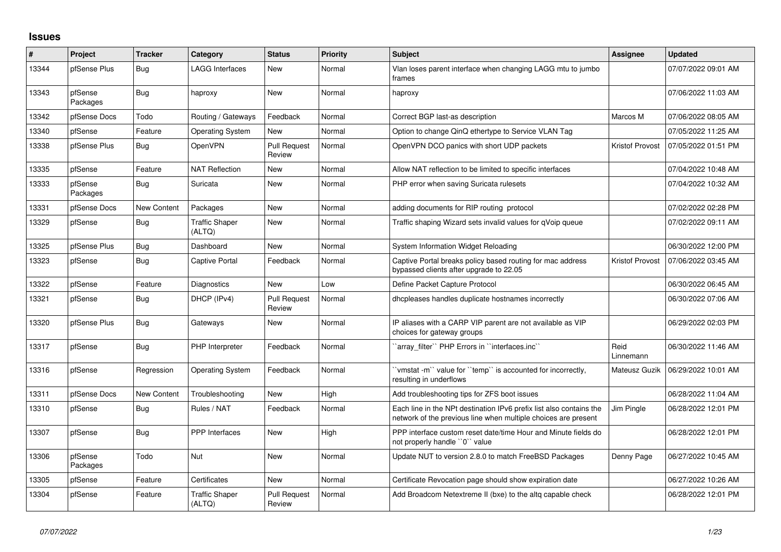## **Issues**

| #     | Project             | <b>Tracker</b>     | Category                        | <b>Status</b>                 | <b>Priority</b> | <b>Subject</b>                                                                                                                        | Assignee          | <b>Updated</b>      |
|-------|---------------------|--------------------|---------------------------------|-------------------------------|-----------------|---------------------------------------------------------------------------------------------------------------------------------------|-------------------|---------------------|
| 13344 | pfSense Plus        | Bug                | <b>LAGG Interfaces</b>          | <b>New</b>                    | Normal          | Vlan loses parent interface when changing LAGG mtu to jumbo<br>frames                                                                 |                   | 07/07/2022 09:01 AM |
| 13343 | pfSense<br>Packages | <b>Bug</b>         | haproxy                         | New                           | Normal          | haproxy                                                                                                                               |                   | 07/06/2022 11:03 AM |
| 13342 | pfSense Docs        | Todo               | Routing / Gateways              | Feedback                      | Normal          | Correct BGP last-as description                                                                                                       | Marcos M          | 07/06/2022 08:05 AM |
| 13340 | pfSense             | Feature            | <b>Operating System</b>         | New                           | Normal          | Option to change QinQ ethertype to Service VLAN Tag                                                                                   |                   | 07/05/2022 11:25 AM |
| 13338 | pfSense Plus        | Bug                | OpenVPN                         | <b>Pull Request</b><br>Review | Normal          | OpenVPN DCO panics with short UDP packets                                                                                             | Kristof Provost   | 07/05/2022 01:51 PM |
| 13335 | pfSense             | Feature            | <b>NAT Reflection</b>           | <b>New</b>                    | Normal          | Allow NAT reflection to be limited to specific interfaces                                                                             |                   | 07/04/2022 10:48 AM |
| 13333 | pfSense<br>Packages | Bug                | Suricata                        | New                           | Normal          | PHP error when saving Suricata rulesets                                                                                               |                   | 07/04/2022 10:32 AM |
| 13331 | pfSense Docs        | <b>New Content</b> | Packages                        | <b>New</b>                    | Normal          | adding documents for RIP routing protocol                                                                                             |                   | 07/02/2022 02:28 PM |
| 13329 | pfSense             | Bug                | <b>Traffic Shaper</b><br>(ALTQ) | New                           | Normal          | Traffic shaping Wizard sets invalid values for qVoip queue                                                                            |                   | 07/02/2022 09:11 AM |
| 13325 | pfSense Plus        | Bug                | Dashboard                       | New                           | Normal          | System Information Widget Reloading                                                                                                   |                   | 06/30/2022 12:00 PM |
| 13323 | pfSense             | Bug                | Captive Portal                  | Feedback                      | Normal          | Captive Portal breaks policy based routing for mac address<br>bypassed clients after upgrade to 22.05                                 | Kristof Provost   | 07/06/2022 03:45 AM |
| 13322 | pfSense             | Feature            | <b>Diagnostics</b>              | New                           | Low             | Define Packet Capture Protocol                                                                                                        |                   | 06/30/2022 06:45 AM |
| 13321 | pfSense             | Bug                | DHCP (IPv4)                     | <b>Pull Request</b><br>Review | Normal          | dhcpleases handles duplicate hostnames incorrectly                                                                                    |                   | 06/30/2022 07:06 AM |
| 13320 | pfSense Plus        | <b>Bug</b>         | Gateways                        | New                           | Normal          | IP aliases with a CARP VIP parent are not available as VIP<br>choices for gateway groups                                              |                   | 06/29/2022 02:03 PM |
| 13317 | pfSense             | <b>Bug</b>         | PHP Interpreter                 | Feedback                      | Normal          | `array_filter`` PHP Errors in ``interfaces.inc``                                                                                      | Reid<br>Linnemann | 06/30/2022 11:46 AM |
| 13316 | pfSense             | Regression         | <b>Operating System</b>         | Feedback                      | Normal          | 'vmstat -m'` value for ''temp'' is accounted for incorrectly,<br>resulting in underflows                                              | Mateusz Guzik     | 06/29/2022 10:01 AM |
| 13311 | pfSense Docs        | <b>New Content</b> | Troubleshooting                 | New                           | High            | Add troubleshooting tips for ZFS boot issues                                                                                          |                   | 06/28/2022 11:04 AM |
| 13310 | pfSense             | Bug                | Rules / NAT                     | Feedback                      | Normal          | Each line in the NPt destination IPv6 prefix list also contains the<br>network of the previous line when multiple choices are present | Jim Pingle        | 06/28/2022 12:01 PM |
| 13307 | pfSense             | Bug                | <b>PPP</b> Interfaces           | <b>New</b>                    | High            | PPP interface custom reset date/time Hour and Minute fields do<br>not properly handle "0" value                                       |                   | 06/28/2022 12:01 PM |
| 13306 | pfSense<br>Packages | Todo               | <b>Nut</b>                      | <b>New</b>                    | Normal          | Update NUT to version 2.8.0 to match FreeBSD Packages                                                                                 | Denny Page        | 06/27/2022 10:45 AM |
| 13305 | pfSense             | Feature            | Certificates                    | <b>New</b>                    | Normal          | Certificate Revocation page should show expiration date                                                                               |                   | 06/27/2022 10:26 AM |
| 13304 | pfSense             | Feature            | <b>Traffic Shaper</b><br>(ALTQ) | <b>Pull Request</b><br>Review | Normal          | Add Broadcom Netextreme II (bxe) to the altq capable check                                                                            |                   | 06/28/2022 12:01 PM |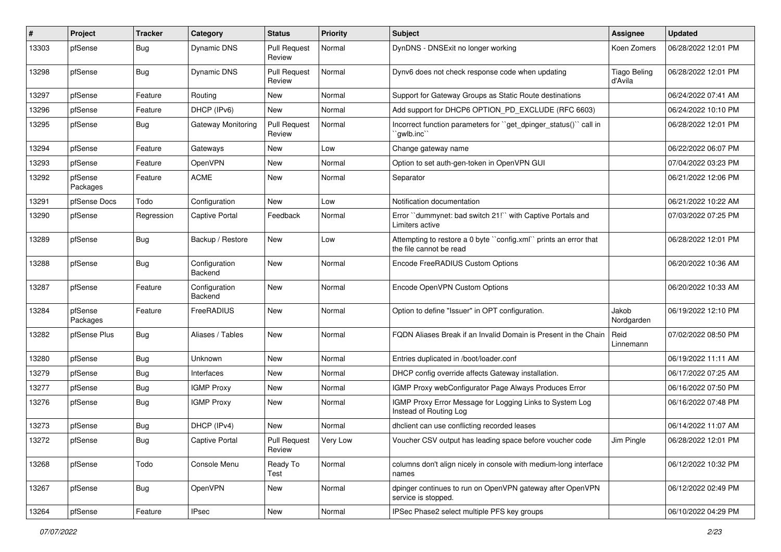| #     | Project             | Tracker    | Category                        | <b>Status</b>                 | Priority | Subject                                                                                     | <b>Assignee</b>                | <b>Updated</b>      |
|-------|---------------------|------------|---------------------------------|-------------------------------|----------|---------------------------------------------------------------------------------------------|--------------------------------|---------------------|
| 13303 | pfSense             | <b>Bug</b> | <b>Dynamic DNS</b>              | <b>Pull Request</b><br>Review | Normal   | DynDNS - DNSExit no longer working                                                          | Koen Zomers                    | 06/28/2022 12:01 PM |
| 13298 | pfSense             | <b>Bug</b> | Dynamic DNS                     | <b>Pull Request</b><br>Review | Normal   | Dynv6 does not check response code when updating                                            | <b>Tiago Beling</b><br>d'Avila | 06/28/2022 12:01 PM |
| 13297 | pfSense             | Feature    | Routing                         | New                           | Normal   | Support for Gateway Groups as Static Route destinations                                     |                                | 06/24/2022 07:41 AM |
| 13296 | pfSense             | Feature    | DHCP (IPv6)                     | <b>New</b>                    | Normal   | Add support for DHCP6 OPTION_PD_EXCLUDE (RFC 6603)                                          |                                | 06/24/2022 10:10 PM |
| 13295 | pfSense             | <b>Bug</b> | Gateway Monitoring              | <b>Pull Request</b><br>Review | Normal   | Incorrect function parameters for "get_dpinger_status()" call in<br>`qwlb.inc``             |                                | 06/28/2022 12:01 PM |
| 13294 | pfSense             | Feature    | Gateways                        | New                           | Low      | Change gateway name                                                                         |                                | 06/22/2022 06:07 PM |
| 13293 | pfSense             | Feature    | OpenVPN                         | New                           | Normal   | Option to set auth-gen-token in OpenVPN GUI                                                 |                                | 07/04/2022 03:23 PM |
| 13292 | pfSense<br>Packages | Feature    | ACME                            | New                           | Normal   | Separator                                                                                   |                                | 06/21/2022 12:06 PM |
| 13291 | pfSense Docs        | Todo       | Configuration                   | New                           | Low      | Notification documentation                                                                  |                                | 06/21/2022 10:22 AM |
| 13290 | pfSense             | Regression | <b>Captive Portal</b>           | Feedback                      | Normal   | Error "dummynet: bad switch 21!" with Captive Portals and<br>Limiters active                |                                | 07/03/2022 07:25 PM |
| 13289 | pfSense             | <b>Bug</b> | Backup / Restore                | <b>New</b>                    | Low      | Attempting to restore a 0 byte "config.xml" prints an error that<br>the file cannot be read |                                | 06/28/2022 12:01 PM |
| 13288 | pfSense             | <b>Bug</b> | Configuration<br>Backend        | New                           | Normal   | Encode FreeRADIUS Custom Options                                                            |                                | 06/20/2022 10:36 AM |
| 13287 | pfSense             | Feature    | Configuration<br><b>Backend</b> | New                           | Normal   | Encode OpenVPN Custom Options                                                               |                                | 06/20/2022 10:33 AM |
| 13284 | pfSense<br>Packages | Feature    | FreeRADIUS                      | New                           | Normal   | Option to define "Issuer" in OPT configuration.                                             | Jakob<br>Nordgarden            | 06/19/2022 12:10 PM |
| 13282 | pfSense Plus        | <b>Bug</b> | Aliases / Tables                | <b>New</b>                    | Normal   | FQDN Aliases Break if an Invalid Domain is Present in the Chain                             | Reid<br>Linnemann              | 07/02/2022 08:50 PM |
| 13280 | pfSense             | <b>Bug</b> | Unknown                         | New                           | Normal   | Entries duplicated in /boot/loader.conf                                                     |                                | 06/19/2022 11:11 AM |
| 13279 | pfSense             | <b>Bug</b> | Interfaces                      | New                           | Normal   | DHCP config override affects Gateway installation.                                          |                                | 06/17/2022 07:25 AM |
| 13277 | pfSense             | <b>Bug</b> | <b>IGMP Proxy</b>               | New                           | Normal   | IGMP Proxy webConfigurator Page Always Produces Error                                       |                                | 06/16/2022 07:50 PM |
| 13276 | pfSense             | <b>Bug</b> | <b>IGMP Proxy</b>               | New                           | Normal   | IGMP Proxy Error Message for Logging Links to System Log<br>Instead of Routing Log          |                                | 06/16/2022 07:48 PM |
| 13273 | pfSense             | <b>Bug</b> | DHCP (IPv4)                     | New                           | Normal   | dhclient can use conflicting recorded leases                                                |                                | 06/14/2022 11:07 AM |
| 13272 | pfSense             | Bug        | Captive Portal                  | <b>Pull Request</b><br>Review | Very Low | Voucher CSV output has leading space before voucher code                                    | Jim Pingle                     | 06/28/2022 12:01 PM |
| 13268 | pfSense             | Todo       | Console Menu                    | Ready To<br>Test              | Normal   | columns don't align nicely in console with medium-long interface<br>names                   |                                | 06/12/2022 10:32 PM |
| 13267 | pfSense             | Bug        | OpenVPN                         | New                           | Normal   | dpinger continues to run on OpenVPN gateway after OpenVPN<br>service is stopped.            |                                | 06/12/2022 02:49 PM |
| 13264 | pfSense             | Feature    | <b>IPsec</b>                    | New                           | Normal   | IPSec Phase2 select multiple PFS key groups                                                 |                                | 06/10/2022 04:29 PM |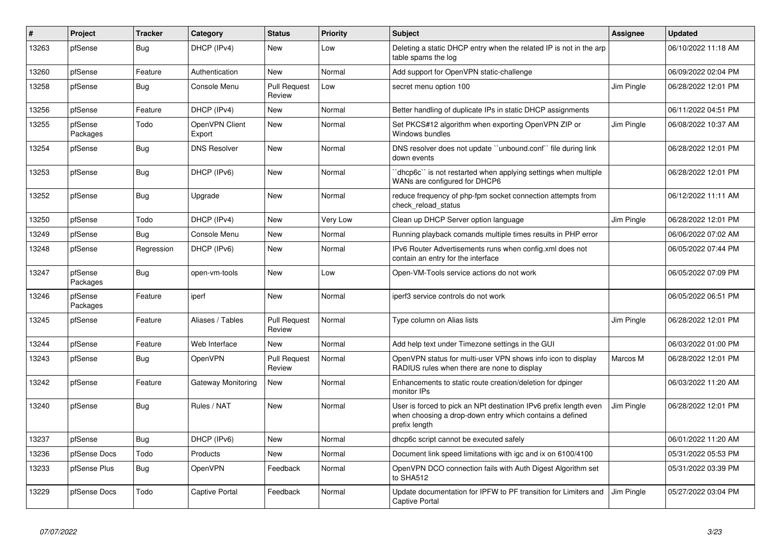| #     | Project             | <b>Tracker</b> | Category                 | <b>Status</b>                 | <b>Priority</b> | <b>Subject</b>                                                                                                                                 | <b>Assignee</b> | <b>Updated</b>      |
|-------|---------------------|----------------|--------------------------|-------------------------------|-----------------|------------------------------------------------------------------------------------------------------------------------------------------------|-----------------|---------------------|
| 13263 | pfSense             | <b>Bug</b>     | DHCP (IPv4)              | <b>New</b>                    | Low             | Deleting a static DHCP entry when the related IP is not in the arp<br>table spams the log                                                      |                 | 06/10/2022 11:18 AM |
| 13260 | pfSense             | Feature        | Authentication           | New                           | Normal          | Add support for OpenVPN static-challenge                                                                                                       |                 | 06/09/2022 02:04 PM |
| 13258 | pfSense             | <b>Bug</b>     | Console Menu             | <b>Pull Request</b><br>Review | Low             | secret menu option 100                                                                                                                         | Jim Pingle      | 06/28/2022 12:01 PM |
| 13256 | pfSense             | Feature        | DHCP (IPv4)              | New                           | Normal          | Better handling of duplicate IPs in static DHCP assignments                                                                                    |                 | 06/11/2022 04:51 PM |
| 13255 | pfSense<br>Packages | Todo           | OpenVPN Client<br>Export | New                           | Normal          | Set PKCS#12 algorithm when exporting OpenVPN ZIP or<br>Windows bundles                                                                         | Jim Pingle      | 06/08/2022 10:37 AM |
| 13254 | pfSense             | <b>Bug</b>     | <b>DNS Resolver</b>      | <b>New</b>                    | Normal          | DNS resolver does not update "unbound.conf" file during link<br>down events                                                                    |                 | 06/28/2022 12:01 PM |
| 13253 | pfSense             | <b>Bug</b>     | DHCP (IPv6)              | <b>New</b>                    | Normal          | dhcp6c" is not restarted when applying settings when multiple<br>WANs are configured for DHCP6                                                 |                 | 06/28/2022 12:01 PM |
| 13252 | pfSense             | <b>Bug</b>     | Upgrade                  | <b>New</b>                    | Normal          | reduce frequency of php-fpm socket connection attempts from<br>check reload status                                                             |                 | 06/12/2022 11:11 AM |
| 13250 | pfSense             | Todo           | DHCP (IPv4)              | New                           | Very Low        | Clean up DHCP Server option language                                                                                                           | Jim Pingle      | 06/28/2022 12:01 PM |
| 13249 | pfSense             | Bug            | Console Menu             | New                           | Normal          | Running playback comands multiple times results in PHP error                                                                                   |                 | 06/06/2022 07:02 AM |
| 13248 | pfSense             | Regression     | DHCP (IPv6)              | <b>New</b>                    | Normal          | IPv6 Router Advertisements runs when config.xml does not<br>contain an entry for the interface                                                 |                 | 06/05/2022 07:44 PM |
| 13247 | pfSense<br>Packages | <b>Bug</b>     | open-vm-tools            | <b>New</b>                    | Low             | Open-VM-Tools service actions do not work                                                                                                      |                 | 06/05/2022 07:09 PM |
| 13246 | pfSense<br>Packages | Feature        | iperf                    | New                           | Normal          | iperf3 service controls do not work                                                                                                            |                 | 06/05/2022 06:51 PM |
| 13245 | pfSense             | Feature        | Aliases / Tables         | <b>Pull Request</b><br>Review | Normal          | Type column on Alias lists                                                                                                                     | Jim Pingle      | 06/28/2022 12:01 PM |
| 13244 | pfSense             | Feature        | Web Interface            | <b>New</b>                    | Normal          | Add help text under Timezone settings in the GUI                                                                                               |                 | 06/03/2022 01:00 PM |
| 13243 | pfSense             | <b>Bug</b>     | OpenVPN                  | <b>Pull Request</b><br>Review | Normal          | OpenVPN status for multi-user VPN shows info icon to display<br>RADIUS rules when there are none to display                                    | Marcos M        | 06/28/2022 12:01 PM |
| 13242 | pfSense             | Feature        | Gateway Monitoring       | New                           | Normal          | Enhancements to static route creation/deletion for dpinger<br>monitor IPs                                                                      |                 | 06/03/2022 11:20 AM |
| 13240 | pfSense             | Bug            | Rules / NAT              | <b>New</b>                    | Normal          | User is forced to pick an NPt destination IPv6 prefix length even<br>when choosing a drop-down entry which contains a defined<br>prefix length | Jim Pingle      | 06/28/2022 12:01 PM |
| 13237 | pfSense             | <b>Bug</b>     | DHCP (IPv6)              | <b>New</b>                    | Normal          | dhcp6c script cannot be executed safely                                                                                                        |                 | 06/01/2022 11:20 AM |
| 13236 | pfSense Docs        | Todo           | Products                 | New                           | Normal          | Document link speed limitations with igc and ix on 6100/4100                                                                                   |                 | 05/31/2022 05:53 PM |
| 13233 | pfSense Plus        | <b>Bug</b>     | OpenVPN                  | Feedback                      | Normal          | OpenVPN DCO connection fails with Auth Digest Algorithm set<br>to SHA512                                                                       |                 | 05/31/2022 03:39 PM |
| 13229 | pfSense Docs        | Todo           | Captive Portal           | Feedback                      | Normal          | Update documentation for IPFW to PF transition for Limiters and<br><b>Captive Portal</b>                                                       | Jim Pingle      | 05/27/2022 03:04 PM |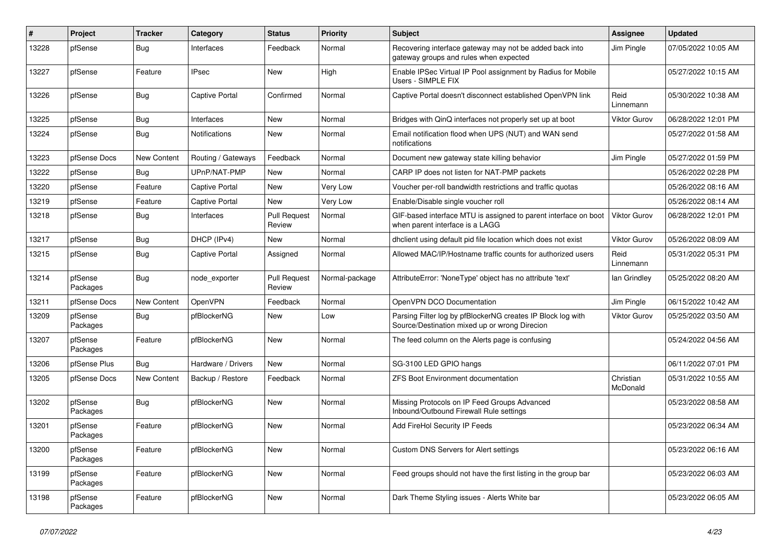| #     | Project             | Tracker     | Category              | <b>Status</b>                 | <b>Priority</b> | <b>Subject</b>                                                                                               | <b>Assignee</b>       | <b>Updated</b>      |
|-------|---------------------|-------------|-----------------------|-------------------------------|-----------------|--------------------------------------------------------------------------------------------------------------|-----------------------|---------------------|
| 13228 | pfSense             | <b>Bug</b>  | Interfaces            | Feedback                      | Normal          | Recovering interface gateway may not be added back into<br>gateway groups and rules when expected            | Jim Pingle            | 07/05/2022 10:05 AM |
| 13227 | pfSense             | Feature     | <b>IPsec</b>          | New                           | High            | Enable IPSec Virtual IP Pool assignment by Radius for Mobile<br>Users - SIMPLE FIX                           |                       | 05/27/2022 10:15 AM |
| 13226 | pfSense             | <b>Bug</b>  | <b>Captive Portal</b> | Confirmed                     | Normal          | Captive Portal doesn't disconnect established OpenVPN link                                                   | Reid<br>Linnemann     | 05/30/2022 10:38 AM |
| 13225 | pfSense             | <b>Bug</b>  | Interfaces            | New                           | Normal          | Bridges with QinQ interfaces not properly set up at boot                                                     | <b>Viktor Gurov</b>   | 06/28/2022 12:01 PM |
| 13224 | pfSense             | <b>Bug</b>  | <b>Notifications</b>  | New                           | Normal          | Email notification flood when UPS (NUT) and WAN send<br>notifications                                        |                       | 05/27/2022 01:58 AM |
| 13223 | pfSense Docs        | New Content | Routing / Gateways    | Feedback                      | Normal          | Document new gateway state killing behavior                                                                  | Jim Pingle            | 05/27/2022 01:59 PM |
| 13222 | pfSense             | Bug         | UPnP/NAT-PMP          | New                           | Normal          | CARP IP does not listen for NAT-PMP packets                                                                  |                       | 05/26/2022 02:28 PM |
| 13220 | pfSense             | Feature     | <b>Captive Portal</b> | New                           | Very Low        | Voucher per-roll bandwidth restrictions and traffic quotas                                                   |                       | 05/26/2022 08:16 AM |
| 13219 | pfSense             | Feature     | <b>Captive Portal</b> | New                           | Very Low        | Enable/Disable single voucher roll                                                                           |                       | 05/26/2022 08:14 AM |
| 13218 | pfSense             | <b>Bug</b>  | Interfaces            | <b>Pull Request</b><br>Review | Normal          | GIF-based interface MTU is assigned to parent interface on boot<br>when parent interface is a LAGG           | <b>Viktor Gurov</b>   | 06/28/2022 12:01 PM |
| 13217 | pfSense             | <b>Bug</b>  | DHCP (IPv4)           | <b>New</b>                    | Normal          | dhclient using default pid file location which does not exist                                                | Viktor Gurov          | 05/26/2022 08:09 AM |
| 13215 | pfSense             | <b>Bug</b>  | <b>Captive Portal</b> | Assigned                      | Normal          | Allowed MAC/IP/Hostname traffic counts for authorized users                                                  | Reid<br>Linnemann     | 05/31/2022 05:31 PM |
| 13214 | pfSense<br>Packages | Bug         | node exporter         | <b>Pull Request</b><br>Review | Normal-package  | AttributeError: 'NoneType' object has no attribute 'text'                                                    | lan Grindley          | 05/25/2022 08:20 AM |
| 13211 | pfSense Docs        | New Content | OpenVPN               | Feedback                      | Normal          | OpenVPN DCO Documentation                                                                                    | Jim Pingle            | 06/15/2022 10:42 AM |
| 13209 | pfSense<br>Packages | <b>Bug</b>  | pfBlockerNG           | New                           | Low             | Parsing Filter log by pfBlockerNG creates IP Block log with<br>Source/Destination mixed up or wrong Direcion | Viktor Gurov          | 05/25/2022 03:50 AM |
| 13207 | pfSense<br>Packages | Feature     | pfBlockerNG           | <b>New</b>                    | Normal          | The feed column on the Alerts page is confusing                                                              |                       | 05/24/2022 04:56 AM |
| 13206 | pfSense Plus        | Bug         | Hardware / Drivers    | New                           | Normal          | SG-3100 LED GPIO hangs                                                                                       |                       | 06/11/2022 07:01 PM |
| 13205 | pfSense Docs        | New Content | Backup / Restore      | Feedback                      | Normal          | ZFS Boot Environment documentation                                                                           | Christian<br>McDonald | 05/31/2022 10:55 AM |
| 13202 | pfSense<br>Packages | <b>Bug</b>  | pfBlockerNG           | <b>New</b>                    | Normal          | Missing Protocols on IP Feed Groups Advanced<br>Inbound/Outbound Firewall Rule settings                      |                       | 05/23/2022 08:58 AM |
| 13201 | pfSense<br>Packages | Feature     | pfBlockerNG           | <b>New</b>                    | Normal          | Add FireHol Security IP Feeds                                                                                |                       | 05/23/2022 06:34 AM |
| 13200 | pfSense<br>Packages | Feature     | pfBlockerNG           | New                           | Normal          | <b>Custom DNS Servers for Alert settings</b>                                                                 |                       | 05/23/2022 06:16 AM |
| 13199 | pfSense<br>Packages | Feature     | pfBlockerNG           | New                           | Normal          | Feed groups should not have the first listing in the group bar                                               |                       | 05/23/2022 06:03 AM |
| 13198 | pfSense<br>Packages | Feature     | pfBlockerNG           | New                           | Normal          | Dark Theme Styling issues - Alerts White bar                                                                 |                       | 05/23/2022 06:05 AM |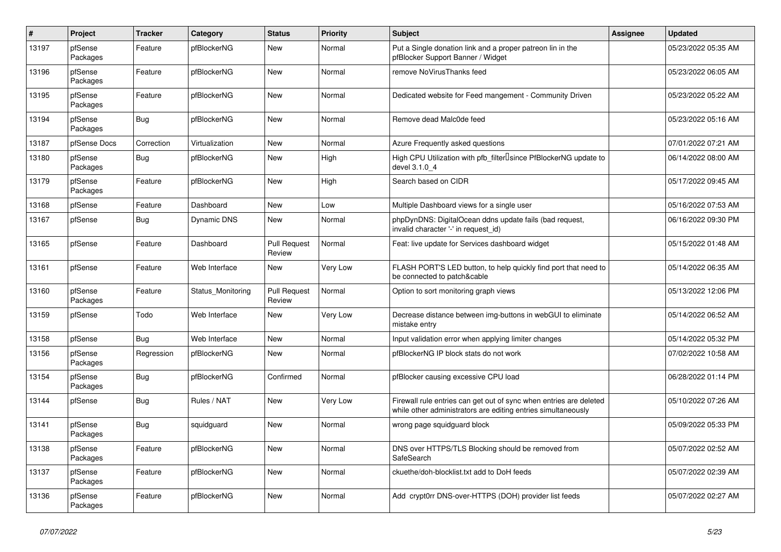| $\sharp$ | Project             | <b>Tracker</b> | Category           | <b>Status</b>                 | <b>Priority</b> | <b>Subject</b>                                                                                                                      | Assignee | <b>Updated</b>      |
|----------|---------------------|----------------|--------------------|-------------------------------|-----------------|-------------------------------------------------------------------------------------------------------------------------------------|----------|---------------------|
| 13197    | pfSense<br>Packages | Feature        | pfBlockerNG        | New                           | Normal          | Put a Single donation link and a proper patreon lin in the<br>pfBlocker Support Banner / Widget                                     |          | 05/23/2022 05:35 AM |
| 13196    | pfSense<br>Packages | Feature        | pfBlockerNG        | New                           | Normal          | remove NoVirusThanks feed                                                                                                           |          | 05/23/2022 06:05 AM |
| 13195    | pfSense<br>Packages | Feature        | pfBlockerNG        | New                           | Normal          | Dedicated website for Feed mangement - Community Driven                                                                             |          | 05/23/2022 05:22 AM |
| 13194    | pfSense<br>Packages | Bug            | pfBlockerNG        | New                           | Normal          | Remove dead Malc0de feed                                                                                                            |          | 05/23/2022 05:16 AM |
| 13187    | pfSense Docs        | Correction     | Virtualization     | New                           | Normal          | Azure Frequently asked questions                                                                                                    |          | 07/01/2022 07:21 AM |
| 13180    | pfSense<br>Packages | Bug            | pfBlockerNG        | New                           | High            | High CPU Utilization with pfb_filter <sup>[]</sup> since PfBlockerNG update to<br>devel 3.1.0 4                                     |          | 06/14/2022 08:00 AM |
| 13179    | pfSense<br>Packages | Feature        | pfBlockerNG        | New                           | High            | Search based on CIDR                                                                                                                |          | 05/17/2022 09:45 AM |
| 13168    | pfSense             | Feature        | Dashboard          | New                           | Low             | Multiple Dashboard views for a single user                                                                                          |          | 05/16/2022 07:53 AM |
| 13167    | pfSense             | Bug            | <b>Dynamic DNS</b> | New                           | Normal          | phpDynDNS: DigitalOcean ddns update fails (bad request,<br>invalid character '-' in request id)                                     |          | 06/16/2022 09:30 PM |
| 13165    | pfSense             | Feature        | Dashboard          | <b>Pull Request</b><br>Review | Normal          | Feat: live update for Services dashboard widget                                                                                     |          | 05/15/2022 01:48 AM |
| 13161    | pfSense             | Feature        | Web Interface      | New                           | Very Low        | FLASH PORT'S LED button, to help quickly find port that need to<br>be connected to patch&cable                                      |          | 05/14/2022 06:35 AM |
| 13160    | pfSense<br>Packages | Feature        | Status Monitoring  | <b>Pull Request</b><br>Review | Normal          | Option to sort monitoring graph views                                                                                               |          | 05/13/2022 12:06 PM |
| 13159    | pfSense             | Todo           | Web Interface      | New                           | Very Low        | Decrease distance between img-buttons in webGUI to eliminate<br>mistake entry                                                       |          | 05/14/2022 06:52 AM |
| 13158    | pfSense             | Bug            | Web Interface      | New                           | Normal          | Input validation error when applying limiter changes                                                                                |          | 05/14/2022 05:32 PM |
| 13156    | pfSense<br>Packages | Regression     | pfBlockerNG        | New                           | Normal          | pfBlockerNG IP block stats do not work                                                                                              |          | 07/02/2022 10:58 AM |
| 13154    | pfSense<br>Packages | Bug            | pfBlockerNG        | Confirmed                     | Normal          | pfBlocker causing excessive CPU load                                                                                                |          | 06/28/2022 01:14 PM |
| 13144    | pfSense             | Bug            | Rules / NAT        | New                           | Very Low        | Firewall rule entries can get out of sync when entries are deleted<br>while other administrators are editing entries simultaneously |          | 05/10/2022 07:26 AM |
| 13141    | pfSense<br>Packages | <b>Bug</b>     | squidguard         | New                           | Normal          | wrong page squidguard block                                                                                                         |          | 05/09/2022 05:33 PM |
| 13138    | pfSense<br>Packages | Feature        | pfBlockerNG        | New                           | Normal          | DNS over HTTPS/TLS Blocking should be removed from<br>SafeSearch                                                                    |          | 05/07/2022 02:52 AM |
| 13137    | pfSense<br>Packages | Feature        | pfBlockerNG        | New                           | Normal          | ckuethe/doh-blocklist.txt add to DoH feeds                                                                                          |          | 05/07/2022 02:39 AM |
| 13136    | pfSense<br>Packages | Feature        | pfBlockerNG        | New                           | Normal          | Add crypt0rr DNS-over-HTTPS (DOH) provider list feeds                                                                               |          | 05/07/2022 02:27 AM |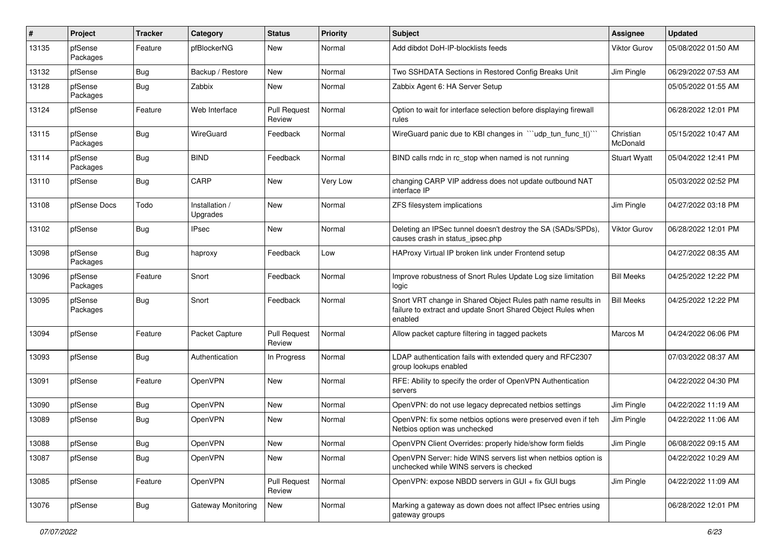| #     | Project             | <b>Tracker</b> | Category                   | <b>Status</b>                 | <b>Priority</b> | Subject                                                                                                                                 | Assignee              | <b>Updated</b>      |
|-------|---------------------|----------------|----------------------------|-------------------------------|-----------------|-----------------------------------------------------------------------------------------------------------------------------------------|-----------------------|---------------------|
| 13135 | pfSense<br>Packages | Feature        | pfBlockerNG                | New                           | Normal          | Add dibdot DoH-IP-blocklists feeds                                                                                                      | Viktor Gurov          | 05/08/2022 01:50 AM |
| 13132 | pfSense             | Bug            | Backup / Restore           | New                           | Normal          | Two SSHDATA Sections in Restored Config Breaks Unit                                                                                     | Jim Pingle            | 06/29/2022 07:53 AM |
| 13128 | pfSense<br>Packages | <b>Bug</b>     | Zabbix                     | New                           | Normal          | Zabbix Agent 6: HA Server Setup                                                                                                         |                       | 05/05/2022 01:55 AM |
| 13124 | pfSense             | Feature        | Web Interface              | <b>Pull Request</b><br>Review | Normal          | Option to wait for interface selection before displaying firewall<br>rules                                                              |                       | 06/28/2022 12:01 PM |
| 13115 | pfSense<br>Packages | Bug            | WireGuard                  | Feedback                      | Normal          | WireGuard panic due to KBI changes in "'udp tun func t()'"                                                                              | Christian<br>McDonald | 05/15/2022 10:47 AM |
| 13114 | pfSense<br>Packages | <b>Bug</b>     | <b>BIND</b>                | Feedback                      | Normal          | BIND calls rndc in rc_stop when named is not running                                                                                    | <b>Stuart Wyatt</b>   | 05/04/2022 12:41 PM |
| 13110 | pfSense             | <b>Bug</b>     | CARP                       | New                           | Very Low        | changing CARP VIP address does not update outbound NAT<br>interface IP                                                                  |                       | 05/03/2022 02:52 PM |
| 13108 | pfSense Docs        | Todo           | Installation /<br>Upgrades | New                           | Normal          | ZFS filesystem implications                                                                                                             | Jim Pingle            | 04/27/2022 03:18 PM |
| 13102 | pfSense             | Bug            | <b>IPsec</b>               | New                           | Normal          | Deleting an IPSec tunnel doesn't destroy the SA (SADs/SPDs),<br>causes crash in status_ipsec.php                                        | Viktor Gurov          | 06/28/2022 12:01 PM |
| 13098 | pfSense<br>Packages | <b>Bug</b>     | haproxy                    | Feedback                      | Low             | HAProxy Virtual IP broken link under Frontend setup                                                                                     |                       | 04/27/2022 08:35 AM |
| 13096 | pfSense<br>Packages | Feature        | Snort                      | Feedback                      | Normal          | Improve robustness of Snort Rules Update Log size limitation<br>logic                                                                   | <b>Bill Meeks</b>     | 04/25/2022 12:22 PM |
| 13095 | pfSense<br>Packages | Bug            | Snort                      | Feedback                      | Normal          | Snort VRT change in Shared Object Rules path name results in<br>failure to extract and update Snort Shared Object Rules when<br>enabled | <b>Bill Meeks</b>     | 04/25/2022 12:22 PM |
| 13094 | pfSense             | Feature        | Packet Capture             | <b>Pull Request</b><br>Review | Normal          | Allow packet capture filtering in tagged packets                                                                                        | Marcos M              | 04/24/2022 06:06 PM |
| 13093 | pfSense             | <b>Bug</b>     | Authentication             | In Progress                   | Normal          | LDAP authentication fails with extended query and RFC2307<br>group lookups enabled                                                      |                       | 07/03/2022 08:37 AM |
| 13091 | pfSense             | Feature        | OpenVPN                    | New                           | Normal          | RFE: Ability to specify the order of OpenVPN Authentication<br>servers                                                                  |                       | 04/22/2022 04:30 PM |
| 13090 | pfSense             | Bug            | OpenVPN                    | New                           | Normal          | OpenVPN: do not use legacy deprecated netbios settings                                                                                  | Jim Pingle            | 04/22/2022 11:19 AM |
| 13089 | pfSense             | Bug            | OpenVPN                    | New                           | Normal          | OpenVPN: fix some netbios options were preserved even if teh<br>Netbios option was unchecked                                            | Jim Pingle            | 04/22/2022 11:06 AM |
| 13088 | pfSense             | <b>Bug</b>     | OpenVPN                    | New                           | Normal          | OpenVPN Client Overrides: properly hide/show form fields                                                                                | Jim Pingle            | 06/08/2022 09:15 AM |
| 13087 | pfSense             | <b>Bug</b>     | OpenVPN                    | New                           | Normal          | OpenVPN Server: hide WINS servers list when netbios option is<br>unchecked while WINS servers is checked                                |                       | 04/22/2022 10:29 AM |
| 13085 | pfSense             | Feature        | OpenVPN                    | <b>Pull Request</b><br>Review | Normal          | OpenVPN: expose NBDD servers in GUI + fix GUI bugs                                                                                      | Jim Pingle            | 04/22/2022 11:09 AM |
| 13076 | pfSense             | Bug            | <b>Gateway Monitoring</b>  | New                           | Normal          | Marking a gateway as down does not affect IPsec entries using<br>gateway groups                                                         |                       | 06/28/2022 12:01 PM |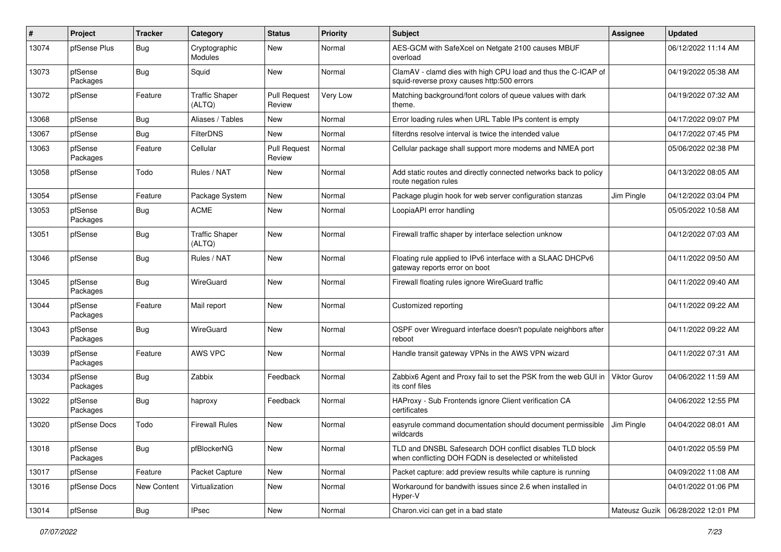| $\vert$ # | Project             | <b>Tracker</b> | Category                        | <b>Status</b>                 | <b>Priority</b> | Subject                                                                                                            | <b>Assignee</b> | <b>Updated</b>      |
|-----------|---------------------|----------------|---------------------------------|-------------------------------|-----------------|--------------------------------------------------------------------------------------------------------------------|-----------------|---------------------|
| 13074     | pfSense Plus        | <b>Bug</b>     | Cryptographic<br>Modules        | New                           | Normal          | AES-GCM with SafeXcel on Netgate 2100 causes MBUF<br>overload                                                      |                 | 06/12/2022 11:14 AM |
| 13073     | pfSense<br>Packages | <b>Bug</b>     | Squid                           | New                           | Normal          | ClamAV - clamd dies with high CPU load and thus the C-ICAP of<br>squid-reverse proxy causes http:500 errors        |                 | 04/19/2022 05:38 AM |
| 13072     | pfSense             | Feature        | <b>Traffic Shaper</b><br>(ALTQ) | <b>Pull Request</b><br>Review | Very Low        | Matching background/font colors of queue values with dark<br>theme.                                                |                 | 04/19/2022 07:32 AM |
| 13068     | pfSense             | <b>Bug</b>     | Aliases / Tables                | <b>New</b>                    | Normal          | Error loading rules when URL Table IPs content is empty                                                            |                 | 04/17/2022 09:07 PM |
| 13067     | pfSense             | <b>Bug</b>     | FilterDNS                       | New                           | Normal          | filterdns resolve interval is twice the intended value                                                             |                 | 04/17/2022 07:45 PM |
| 13063     | pfSense<br>Packages | Feature        | Cellular                        | <b>Pull Request</b><br>Review | Normal          | Cellular package shall support more modems and NMEA port                                                           |                 | 05/06/2022 02:38 PM |
| 13058     | pfSense             | Todo           | Rules / NAT                     | New                           | Normal          | Add static routes and directly connected networks back to policy<br>route negation rules                           |                 | 04/13/2022 08:05 AM |
| 13054     | pfSense             | Feature        | Package System                  | <b>New</b>                    | Normal          | Package plugin hook for web server configuration stanzas                                                           | Jim Pingle      | 04/12/2022 03:04 PM |
| 13053     | pfSense<br>Packages | <b>Bug</b>     | <b>ACME</b>                     | New                           | Normal          | LoopiaAPI error handling                                                                                           |                 | 05/05/2022 10:58 AM |
| 13051     | pfSense             | <b>Bug</b>     | <b>Traffic Shaper</b><br>(ALTQ) | New                           | Normal          | Firewall traffic shaper by interface selection unknow                                                              |                 | 04/12/2022 07:03 AM |
| 13046     | pfSense             | <b>Bug</b>     | Rules / NAT                     | <b>New</b>                    | Normal          | Floating rule applied to IPv6 interface with a SLAAC DHCPv6<br>gateway reports error on boot                       |                 | 04/11/2022 09:50 AM |
| 13045     | pfSense<br>Packages | <b>Bug</b>     | WireGuard                       | <b>New</b>                    | Normal          | Firewall floating rules ignore WireGuard traffic                                                                   |                 | 04/11/2022 09:40 AM |
| 13044     | pfSense<br>Packages | Feature        | Mail report                     | <b>New</b>                    | Normal          | Customized reporting                                                                                               |                 | 04/11/2022 09:22 AM |
| 13043     | pfSense<br>Packages | Bug            | WireGuard                       | New                           | Normal          | OSPF over Wireguard interface doesn't populate neighbors after<br>reboot                                           |                 | 04/11/2022 09:22 AM |
| 13039     | pfSense<br>Packages | Feature        | <b>AWS VPC</b>                  | New                           | Normal          | Handle transit gateway VPNs in the AWS VPN wizard                                                                  |                 | 04/11/2022 07:31 AM |
| 13034     | pfSense<br>Packages | <b>Bug</b>     | Zabbix                          | Feedback                      | Normal          | Zabbix6 Agent and Proxy fail to set the PSK from the web GUI in<br>its conf files                                  | Viktor Gurov    | 04/06/2022 11:59 AM |
| 13022     | pfSense<br>Packages | <b>Bug</b>     | haproxy                         | Feedback                      | Normal          | HAProxy - Sub Frontends ignore Client verification CA<br>certificates                                              |                 | 04/06/2022 12:55 PM |
| 13020     | pfSense Docs        | Todo           | <b>Firewall Rules</b>           | New                           | Normal          | easyrule command documentation should document permissible<br>wildcards                                            | Jim Pingle      | 04/04/2022 08:01 AM |
| 13018     | pfSense<br>Packages | Bug            | pfBlockerNG                     | New                           | Normal          | TLD and DNSBL Safesearch DOH conflict disables TLD block<br>when conflicting DOH FQDN is deselected or whitelisted |                 | 04/01/2022 05:59 PM |
| 13017     | pfSense             | Feature        | Packet Capture                  | New                           | Normal          | Packet capture: add preview results while capture is running                                                       |                 | 04/09/2022 11:08 AM |
| 13016     | pfSense Docs        | New Content    | Virtualization                  | New                           | Normal          | Workaround for bandwith issues since 2.6 when installed in<br>Hyper-V                                              |                 | 04/01/2022 01:06 PM |
| 13014     | pfSense             | <b>Bug</b>     | <b>IPsec</b>                    | New                           | Normal          | Charon.vici can get in a bad state                                                                                 | Mateusz Guzik   | 06/28/2022 12:01 PM |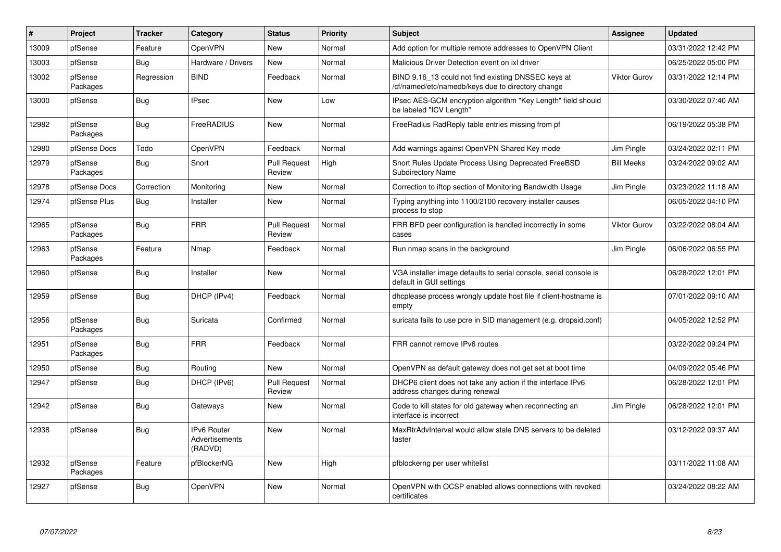| #     | Project             | <b>Tracker</b> | Category                                        | <b>Status</b>                 | Priority | <b>Subject</b>                                                                                           | Assignee            | <b>Updated</b>      |
|-------|---------------------|----------------|-------------------------------------------------|-------------------------------|----------|----------------------------------------------------------------------------------------------------------|---------------------|---------------------|
| 13009 | pfSense             | Feature        | OpenVPN                                         | New                           | Normal   | Add option for multiple remote addresses to OpenVPN Client                                               |                     | 03/31/2022 12:42 PM |
| 13003 | pfSense             | <b>Bug</b>     | Hardware / Drivers                              | <b>New</b>                    | Normal   | Malicious Driver Detection event on ixl driver                                                           |                     | 06/25/2022 05:00 PM |
| 13002 | pfSense<br>Packages | Regression     | <b>BIND</b>                                     | Feedback                      | Normal   | BIND 9.16 13 could not find existing DNSSEC keys at<br>/cf/named/etc/namedb/keys due to directory change | <b>Viktor Gurov</b> | 03/31/2022 12:14 PM |
| 13000 | pfSense             | <b>Bug</b>     | <b>IPsec</b>                                    | <b>New</b>                    | Low      | IPsec AES-GCM encryption algorithm "Key Length" field should<br>be labeled "ICV Length"                  |                     | 03/30/2022 07:40 AM |
| 12982 | pfSense<br>Packages | <b>Bug</b>     | FreeRADIUS                                      | <b>New</b>                    | Normal   | FreeRadius RadReply table entries missing from pf                                                        |                     | 06/19/2022 05:38 PM |
| 12980 | pfSense Docs        | Todo           | OpenVPN                                         | Feedback                      | Normal   | Add warnings against OpenVPN Shared Key mode                                                             | Jim Pingle          | 03/24/2022 02:11 PM |
| 12979 | pfSense<br>Packages | Bug            | Snort                                           | <b>Pull Request</b><br>Review | High     | Snort Rules Update Process Using Deprecated FreeBSD<br><b>Subdirectory Name</b>                          | <b>Bill Meeks</b>   | 03/24/2022 09:02 AM |
| 12978 | pfSense Docs        | Correction     | Monitoring                                      | New                           | Normal   | Correction to iftop section of Monitoring Bandwidth Usage                                                | Jim Pingle          | 03/23/2022 11:18 AM |
| 12974 | pfSense Plus        | Bug            | Installer                                       | New                           | Normal   | Typing anything into 1100/2100 recovery installer causes<br>process to stop                              |                     | 06/05/2022 04:10 PM |
| 12965 | pfSense<br>Packages | <b>Bug</b>     | <b>FRR</b>                                      | <b>Pull Request</b><br>Review | Normal   | FRR BFD peer configuration is handled incorrectly in some<br>cases                                       | <b>Viktor Gurov</b> | 03/22/2022 08:04 AM |
| 12963 | pfSense<br>Packages | Feature        | Nmap                                            | Feedback                      | Normal   | Run nmap scans in the background                                                                         | Jim Pingle          | 06/06/2022 06:55 PM |
| 12960 | pfSense             | <b>Bug</b>     | Installer                                       | New                           | Normal   | VGA installer image defaults to serial console, serial console is<br>default in GUI settings             |                     | 06/28/2022 12:01 PM |
| 12959 | pfSense             | <b>Bug</b>     | DHCP (IPv4)                                     | Feedback                      | Normal   | dhcplease process wrongly update host file if client-hostname is<br>empty                                |                     | 07/01/2022 09:10 AM |
| 12956 | pfSense<br>Packages | <b>Bug</b>     | Suricata                                        | Confirmed                     | Normal   | suricata fails to use pcre in SID management (e.g. dropsid.conf)                                         |                     | 04/05/2022 12:52 PM |
| 12951 | pfSense<br>Packages | <b>Bug</b>     | <b>FRR</b>                                      | Feedback                      | Normal   | FRR cannot remove IPv6 routes                                                                            |                     | 03/22/2022 09:24 PM |
| 12950 | pfSense             | <b>Bug</b>     | Routing                                         | <b>New</b>                    | Normal   | OpenVPN as default gateway does not get set at boot time                                                 |                     | 04/09/2022 05:46 PM |
| 12947 | pfSense             | Bug            | DHCP (IPv6)                                     | <b>Pull Request</b><br>Review | Normal   | DHCP6 client does not take any action if the interface IPv6<br>address changes during renewal            |                     | 06/28/2022 12:01 PM |
| 12942 | pfSense             | <b>Bug</b>     | Gateways                                        | New                           | Normal   | Code to kill states for old gateway when reconnecting an<br>interface is incorrect                       | Jim Pingle          | 06/28/2022 12:01 PM |
| 12938 | pfSense             | <b>Bug</b>     | <b>IPv6 Router</b><br>Advertisements<br>(RADVD) | <b>New</b>                    | Normal   | MaxRtrAdvInterval would allow stale DNS servers to be deleted<br>faster                                  |                     | 03/12/2022 09:37 AM |
| 12932 | pfSense<br>Packages | Feature        | pfBlockerNG                                     | <b>New</b>                    | High     | pfblockerng per user whitelist                                                                           |                     | 03/11/2022 11:08 AM |
| 12927 | pfSense             | Bug            | OpenVPN                                         | <b>New</b>                    | Normal   | OpenVPN with OCSP enabled allows connections with revoked<br>certificates                                |                     | 03/24/2022 08:22 AM |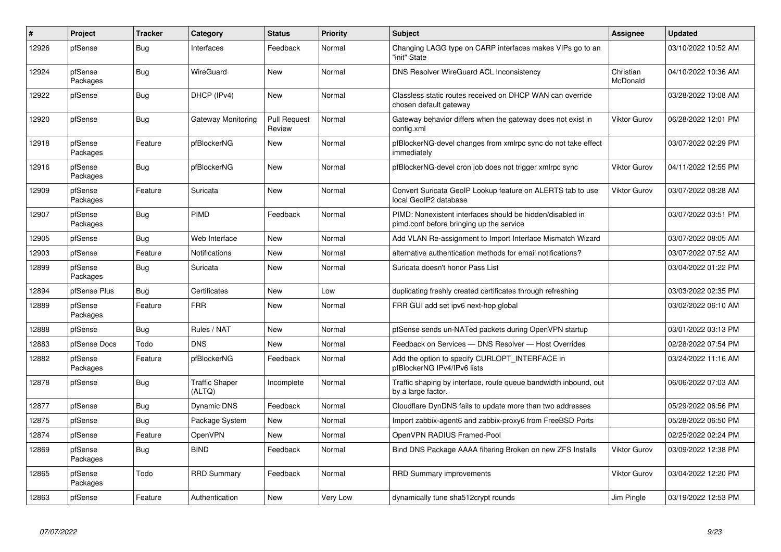| $\vert$ # | Project             | <b>Tracker</b> | Category                        | <b>Status</b>                 | <b>Priority</b> | <b>Subject</b>                                                                                        | Assignee              | <b>Updated</b>      |
|-----------|---------------------|----------------|---------------------------------|-------------------------------|-----------------|-------------------------------------------------------------------------------------------------------|-----------------------|---------------------|
| 12926     | pfSense             | <b>Bug</b>     | Interfaces                      | Feedback                      | Normal          | Changing LAGG type on CARP interfaces makes VIPs go to an<br>"init" State                             |                       | 03/10/2022 10:52 AM |
| 12924     | pfSense<br>Packages | <b>Bug</b>     | WireGuard                       | <b>New</b>                    | Normal          | <b>DNS Resolver WireGuard ACL Inconsistency</b>                                                       | Christian<br>McDonald | 04/10/2022 10:36 AM |
| 12922     | pfSense             | Bug            | DHCP (IPv4)                     | <b>New</b>                    | Normal          | Classless static routes received on DHCP WAN can override<br>chosen default gateway                   |                       | 03/28/2022 10:08 AM |
| 12920     | pfSense             | <b>Bug</b>     | Gateway Monitoring              | <b>Pull Request</b><br>Review | Normal          | Gateway behavior differs when the gateway does not exist in<br>config.xml                             | Viktor Gurov          | 06/28/2022 12:01 PM |
| 12918     | pfSense<br>Packages | Feature        | pfBlockerNG                     | New                           | Normal          | pfBlockerNG-devel changes from xmlrpc sync do not take effect<br>immediately                          |                       | 03/07/2022 02:29 PM |
| 12916     | pfSense<br>Packages | <b>Bug</b>     | pfBlockerNG                     | <b>New</b>                    | Normal          | pfBlockerNG-devel cron job does not trigger xmlrpc sync                                               | Viktor Gurov          | 04/11/2022 12:55 PM |
| 12909     | pfSense<br>Packages | Feature        | Suricata                        | <b>New</b>                    | Normal          | Convert Suricata GeoIP Lookup feature on ALERTS tab to use<br>local GeoIP2 database                   | <b>Viktor Gurov</b>   | 03/07/2022 08:28 AM |
| 12907     | pfSense<br>Packages | Bug            | <b>PIMD</b>                     | Feedback                      | Normal          | PIMD: Nonexistent interfaces should be hidden/disabled in<br>pimd.conf before bringing up the service |                       | 03/07/2022 03:51 PM |
| 12905     | pfSense             | Bug            | Web Interface                   | <b>New</b>                    | Normal          | Add VLAN Re-assignment to Import Interface Mismatch Wizard                                            |                       | 03/07/2022 08:05 AM |
| 12903     | pfSense             | Feature        | <b>Notifications</b>            | New                           | Normal          | alternative authentication methods for email notifications?                                           |                       | 03/07/2022 07:52 AM |
| 12899     | pfSense<br>Packages | Bug            | Suricata                        | <b>New</b>                    | Normal          | Suricata doesn't honor Pass List                                                                      |                       | 03/04/2022 01:22 PM |
| 12894     | pfSense Plus        | Bug            | Certificates                    | <b>New</b>                    | Low             | duplicating freshly created certificates through refreshing                                           |                       | 03/03/2022 02:35 PM |
| 12889     | pfSense<br>Packages | Feature        | <b>FRR</b>                      | <b>New</b>                    | Normal          | FRR GUI add set ipv6 next-hop global                                                                  |                       | 03/02/2022 06:10 AM |
| 12888     | pfSense             | <b>Bug</b>     | Rules / NAT                     | New                           | Normal          | pfSense sends un-NATed packets during OpenVPN startup                                                 |                       | 03/01/2022 03:13 PM |
| 12883     | pfSense Docs        | Todo           | <b>DNS</b>                      | <b>New</b>                    | Normal          | Feedback on Services - DNS Resolver - Host Overrides                                                  |                       | 02/28/2022 07:54 PM |
| 12882     | pfSense<br>Packages | Feature        | pfBlockerNG                     | Feedback                      | Normal          | Add the option to specify CURLOPT_INTERFACE in<br>pfBlockerNG IPv4/IPv6 lists                         |                       | 03/24/2022 11:16 AM |
| 12878     | pfSense             | <b>Bug</b>     | <b>Traffic Shaper</b><br>(ALTQ) | Incomplete                    | Normal          | Traffic shaping by interface, route queue bandwidth inbound, out<br>by a large factor.                |                       | 06/06/2022 07:03 AM |
| 12877     | pfSense             | <b>Bug</b>     | <b>Dynamic DNS</b>              | Feedback                      | Normal          | Cloudflare DynDNS fails to update more than two addresses                                             |                       | 05/29/2022 06:56 PM |
| 12875     | pfSense             | Bug            | Package System                  | New                           | Normal          | Import zabbix-agent6 and zabbix-proxy6 from FreeBSD Ports                                             |                       | 05/28/2022 06:50 PM |
| 12874     | pfSense             | Feature        | OpenVPN                         | <b>New</b>                    | Normal          | OpenVPN RADIUS Framed-Pool                                                                            |                       | 02/25/2022 02:24 PM |
| 12869     | pfSense<br>Packages | Bug            | <b>BIND</b>                     | Feedback                      | Normal          | Bind DNS Package AAAA filtering Broken on new ZFS Installs                                            | <b>Viktor Gurov</b>   | 03/09/2022 12:38 PM |
| 12865     | pfSense<br>Packages | Todo           | <b>RRD Summary</b>              | Feedback                      | Normal          | <b>RRD Summary improvements</b>                                                                       | <b>Viktor Gurov</b>   | 03/04/2022 12:20 PM |
| 12863     | pfSense             | Feature        | Authentication                  | New                           | Very Low        | dynamically tune sha512crypt rounds                                                                   | Jim Pingle            | 03/19/2022 12:53 PM |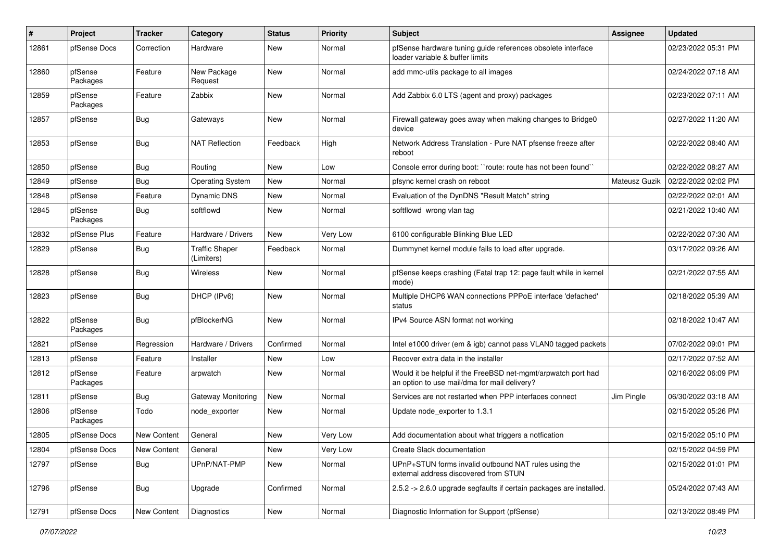| ∦     | <b>Project</b>      | <b>Tracker</b> | Category                            | <b>Status</b> | <b>Priority</b> | <b>Subject</b>                                                                                                | <b>Assignee</b> | <b>Updated</b>      |
|-------|---------------------|----------------|-------------------------------------|---------------|-----------------|---------------------------------------------------------------------------------------------------------------|-----------------|---------------------|
| 12861 | pfSense Docs        | Correction     | Hardware                            | New           | Normal          | pfSense hardware tuning guide references obsolete interface<br>loader variable & buffer limits                |                 | 02/23/2022 05:31 PM |
| 12860 | pfSense<br>Packages | Feature        | New Package<br>Request              | New           | Normal          | add mmc-utils package to all images                                                                           |                 | 02/24/2022 07:18 AM |
| 12859 | pfSense<br>Packages | Feature        | Zabbix                              | <b>New</b>    | Normal          | Add Zabbix 6.0 LTS (agent and proxy) packages                                                                 |                 | 02/23/2022 07:11 AM |
| 12857 | pfSense             | Bug            | Gateways                            | New           | Normal          | Firewall gateway goes away when making changes to Bridge0<br>device                                           |                 | 02/27/2022 11:20 AM |
| 12853 | pfSense             | Bug            | <b>NAT Reflection</b>               | Feedback      | High            | Network Address Translation - Pure NAT pfsense freeze after<br>reboot                                         |                 | 02/22/2022 08:40 AM |
| 12850 | pfSense             | Bug            | Routing                             | New           | Low             | Console error during boot: "route: route has not been found"                                                  |                 | 02/22/2022 08:27 AM |
| 12849 | pfSense             | Bug            | <b>Operating System</b>             | New           | Normal          | pfsync kernel crash on reboot                                                                                 | Mateusz Guzik   | 02/22/2022 02:02 PM |
| 12848 | pfSense             | Feature        | <b>Dynamic DNS</b>                  | <b>New</b>    | Normal          | Evaluation of the DynDNS "Result Match" string                                                                |                 | 02/22/2022 02:01 AM |
| 12845 | pfSense<br>Packages | Bug            | softflowd                           | New           | Normal          | softflowd wrong vlan tag                                                                                      |                 | 02/21/2022 10:40 AM |
| 12832 | pfSense Plus        | Feature        | Hardware / Drivers                  | New           | Very Low        | 6100 configurable Blinking Blue LED                                                                           |                 | 02/22/2022 07:30 AM |
| 12829 | pfSense             | <b>Bug</b>     | <b>Traffic Shaper</b><br>(Limiters) | Feedback      | Normal          | Dummynet kernel module fails to load after upgrade.                                                           |                 | 03/17/2022 09:26 AM |
| 12828 | pfSense             | <b>Bug</b>     | Wireless                            | <b>New</b>    | Normal          | pfSense keeps crashing (Fatal trap 12: page fault while in kernel<br>mode)                                    |                 | 02/21/2022 07:55 AM |
| 12823 | pfSense             | Bug            | DHCP (IPv6)                         | New           | Normal          | Multiple DHCP6 WAN connections PPPoE interface 'defached'<br>status                                           |                 | 02/18/2022 05:39 AM |
| 12822 | pfSense<br>Packages | Bug            | pfBlockerNG                         | <b>New</b>    | Normal          | IPv4 Source ASN format not working                                                                            |                 | 02/18/2022 10:47 AM |
| 12821 | pfSense             | Regression     | Hardware / Drivers                  | Confirmed     | Normal          | Intel e1000 driver (em & igb) cannot pass VLAN0 tagged packets                                                |                 | 07/02/2022 09:01 PM |
| 12813 | pfSense             | Feature        | Installer                           | New           | Low             | Recover extra data in the installer                                                                           |                 | 02/17/2022 07:52 AM |
| 12812 | pfSense<br>Packages | Feature        | arpwatch                            | New           | Normal          | Would it be helpful if the FreeBSD net-mgmt/arpwatch port had<br>an option to use mail/dma for mail delivery? |                 | 02/16/2022 06:09 PM |
| 12811 | pfSense             | <b>Bug</b>     | Gateway Monitoring                  | <b>New</b>    | Normal          | Services are not restarted when PPP interfaces connect                                                        | Jim Pingle      | 06/30/2022 03:18 AM |
| 12806 | pfSense<br>Packages | Todo           | node_exporter                       | New           | Normal          | Update node_exporter to 1.3.1                                                                                 |                 | 02/15/2022 05:26 PM |
| 12805 | pfSense Docs        | New Content    | General                             | New           | Very Low        | Add documentation about what triggers a notfication                                                           |                 | 02/15/2022 05:10 PM |
| 12804 | pfSense Docs        | New Content    | General                             | <b>New</b>    | Very Low        | Create Slack documentation                                                                                    |                 | 02/15/2022 04:59 PM |
| 12797 | pfSense             | <b>Bug</b>     | UPnP/NAT-PMP                        | New           | Normal          | UPnP+STUN forms invalid outbound NAT rules using the<br>external address discovered from STUN                 |                 | 02/15/2022 01:01 PM |
| 12796 | pfSense             | <b>Bug</b>     | Upgrade                             | Confirmed     | Normal          | 2.5.2 -> 2.6.0 upgrade segfaults if certain packages are installed.                                           |                 | 05/24/2022 07:43 AM |
| 12791 | pfSense Docs        | New Content    | Diagnostics                         | New           | Normal          | Diagnostic Information for Support (pfSense)                                                                  |                 | 02/13/2022 08:49 PM |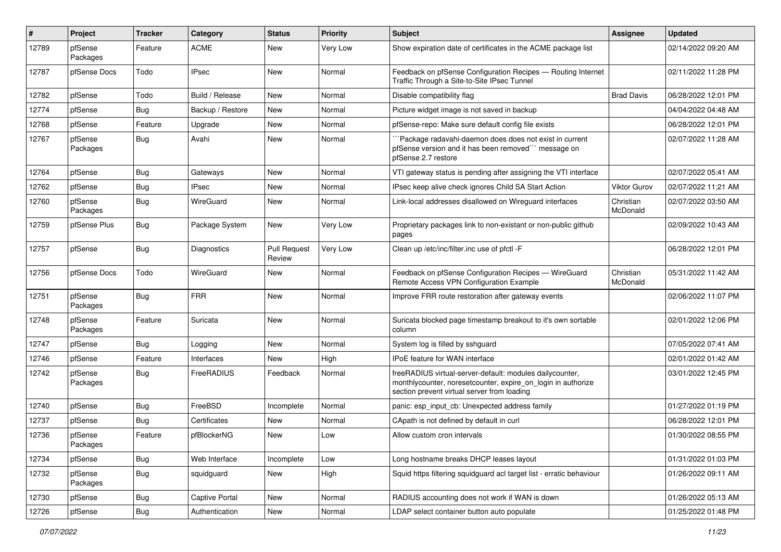| #     | Project             | Tracker    | Category         | <b>Status</b>                 | <b>Priority</b> | <b>Subject</b>                                                                                                                                                           | <b>Assignee</b>       | <b>Updated</b>      |
|-------|---------------------|------------|------------------|-------------------------------|-----------------|--------------------------------------------------------------------------------------------------------------------------------------------------------------------------|-----------------------|---------------------|
| 12789 | pfSense<br>Packages | Feature    | <b>ACME</b>      | New                           | Very Low        | Show expiration date of certificates in the ACME package list                                                                                                            |                       | 02/14/2022 09:20 AM |
| 12787 | pfSense Docs        | Todo       | <b>IPsec</b>     | New                           | Normal          | Feedback on pfSense Configuration Recipes - Routing Internet<br>Traffic Through a Site-to-Site IPsec Tunnel                                                              |                       | 02/11/2022 11:28 PM |
| 12782 | pfSense             | Todo       | Build / Release  | <b>New</b>                    | Normal          | Disable compatibility flag                                                                                                                                               | <b>Brad Davis</b>     | 06/28/2022 12:01 PM |
| 12774 | pfSense             | <b>Bug</b> | Backup / Restore | New                           | Normal          | Picture widget image is not saved in backup                                                                                                                              |                       | 04/04/2022 04:48 AM |
| 12768 | pfSense             | Feature    | Upgrade          | New                           | Normal          | pfSense-repo: Make sure default config file exists                                                                                                                       |                       | 06/28/2022 12:01 PM |
| 12767 | pfSense<br>Packages | <b>Bug</b> | Avahi            | New                           | Normal          | `Package radavahi-daemon does does not exist in current<br>pfSense version and it has been removed" message on<br>pfSense 2.7 restore                                    |                       | 02/07/2022 11:28 AM |
| 12764 | pfSense             | <b>Bug</b> | Gateways         | New                           | Normal          | VTI gateway status is pending after assigning the VTI interface                                                                                                          |                       | 02/07/2022 05:41 AM |
| 12762 | pfSense             | <b>Bug</b> | <b>IPsec</b>     | New                           | Normal          | IPsec keep alive check ignores Child SA Start Action                                                                                                                     | <b>Viktor Gurov</b>   | 02/07/2022 11:21 AM |
| 12760 | pfSense<br>Packages | Bug        | WireGuard        | <b>New</b>                    | Normal          | Link-local addresses disallowed on Wireguard interfaces                                                                                                                  | Christian<br>McDonald | 02/07/2022 03:50 AM |
| 12759 | pfSense Plus        | <b>Bug</b> | Package System   | New                           | Very Low        | Proprietary packages link to non-existant or non-public github<br>pages                                                                                                  |                       | 02/09/2022 10:43 AM |
| 12757 | pfSense             | <b>Bug</b> | Diagnostics      | <b>Pull Request</b><br>Review | Very Low        | Clean up /etc/inc/filter.inc use of pfctl -F                                                                                                                             |                       | 06/28/2022 12:01 PM |
| 12756 | pfSense Docs        | Todo       | WireGuard        | New                           | Normal          | Feedback on pfSense Configuration Recipes - WireGuard<br>Remote Access VPN Configuration Example                                                                         | Christian<br>McDonald | 05/31/2022 11:42 AM |
| 12751 | pfSense<br>Packages | <b>Bug</b> | <b>FRR</b>       | <b>New</b>                    | Normal          | Improve FRR route restoration after gateway events                                                                                                                       |                       | 02/06/2022 11:07 PM |
| 12748 | pfSense<br>Packages | Feature    | Suricata         | New                           | Normal          | Suricata blocked page timestamp breakout to it's own sortable<br>column                                                                                                  |                       | 02/01/2022 12:06 PM |
| 12747 | pfSense             | <b>Bug</b> | Logging          | New                           | Normal          | System log is filled by sshguard                                                                                                                                         |                       | 07/05/2022 07:41 AM |
| 12746 | pfSense             | Feature    | Interfaces       | New                           | High            | <b>IPoE</b> feature for WAN interface                                                                                                                                    |                       | 02/01/2022 01:42 AM |
| 12742 | pfSense<br>Packages | <b>Bug</b> | FreeRADIUS       | Feedback                      | Normal          | freeRADIUS virtual-server-default: modules dailycounter,<br>monthlycounter, noreset counter, expire on login in authorize<br>section prevent virtual server from loading |                       | 03/01/2022 12:45 PM |
| 12740 | pfSense             | <b>Bug</b> | FreeBSD          | Incomplete                    | Normal          | panic: esp input cb: Unexpected address family                                                                                                                           |                       | 01/27/2022 01:19 PM |
| 12737 | pfSense             | <b>Bug</b> | Certificates     | New                           | Normal          | CApath is not defined by default in curl                                                                                                                                 |                       | 06/28/2022 12:01 PM |
| 12736 | pfSense<br>Packages | Feature    | pfBlockerNG      | New                           | Low             | Allow custom cron intervals                                                                                                                                              |                       | 01/30/2022 08:55 PM |
| 12734 | pfSense             | <b>Bug</b> | Web Interface    | Incomplete                    | Low             | Long hostname breaks DHCP leases layout                                                                                                                                  |                       | 01/31/2022 01:03 PM |
| 12732 | pfSense<br>Packages | Bug        | squidguard       | New                           | High            | Squid https filtering squidguard acl target list - erratic behaviour                                                                                                     |                       | 01/26/2022 09:11 AM |
| 12730 | pfSense             | <b>Bug</b> | Captive Portal   | New                           | Normal          | RADIUS accounting does not work if WAN is down                                                                                                                           |                       | 01/26/2022 05:13 AM |
| 12726 | pfSense             | <b>Bug</b> | Authentication   | New                           | Normal          | LDAP select container button auto populate                                                                                                                               |                       | 01/25/2022 01:48 PM |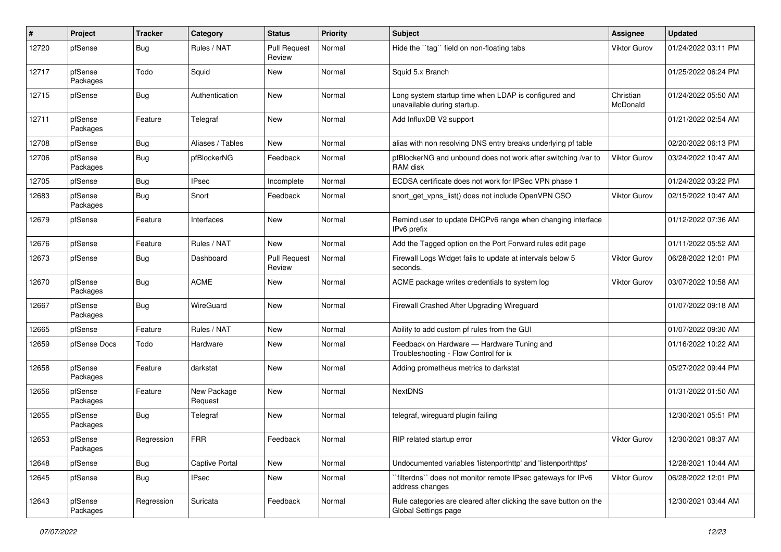| #     | Project             | <b>Tracker</b> | Category               | <b>Status</b>                 | Priority | Subject                                                                                   | Assignee              | <b>Updated</b>      |
|-------|---------------------|----------------|------------------------|-------------------------------|----------|-------------------------------------------------------------------------------------------|-----------------------|---------------------|
| 12720 | pfSense             | <b>Bug</b>     | Rules / NAT            | <b>Pull Request</b><br>Review | Normal   | Hide the "tag" field on non-floating tabs                                                 | Viktor Gurov          | 01/24/2022 03:11 PM |
| 12717 | pfSense<br>Packages | Todo           | Squid                  | New                           | Normal   | Squid 5.x Branch                                                                          |                       | 01/25/2022 06:24 PM |
| 12715 | pfSense             | <b>Bug</b>     | Authentication         | New                           | Normal   | Long system startup time when LDAP is configured and<br>unavailable during startup.       | Christian<br>McDonald | 01/24/2022 05:50 AM |
| 12711 | pfSense<br>Packages | Feature        | Telegraf               | New                           | Normal   | Add InfluxDB V2 support                                                                   |                       | 01/21/2022 02:54 AM |
| 12708 | pfSense             | <b>Bug</b>     | Aliases / Tables       | New                           | Normal   | alias with non resolving DNS entry breaks underlying pf table                             |                       | 02/20/2022 06:13 PM |
| 12706 | pfSense<br>Packages | <b>Bug</b>     | pfBlockerNG            | Feedback                      | Normal   | pfBlockerNG and unbound does not work after switching /var to<br>RAM disk                 | Viktor Gurov          | 03/24/2022 10:47 AM |
| 12705 | pfSense             | <b>Bug</b>     | <b>IPsec</b>           | Incomplete                    | Normal   | ECDSA certificate does not work for IPSec VPN phase 1                                     |                       | 01/24/2022 03:22 PM |
| 12683 | pfSense<br>Packages | <b>Bug</b>     | Snort                  | Feedback                      | Normal   | snort_get_vpns_list() does not include OpenVPN CSO                                        | Viktor Gurov          | 02/15/2022 10:47 AM |
| 12679 | pfSense             | Feature        | Interfaces             | New                           | Normal   | Remind user to update DHCPv6 range when changing interface<br>IPv6 prefix                 |                       | 01/12/2022 07:36 AM |
| 12676 | pfSense             | Feature        | Rules / NAT            | New                           | Normal   | Add the Tagged option on the Port Forward rules edit page                                 |                       | 01/11/2022 05:52 AM |
| 12673 | pfSense             | Bug            | Dashboard              | <b>Pull Request</b><br>Review | Normal   | Firewall Logs Widget fails to update at intervals below 5<br>seconds.                     | Viktor Gurov          | 06/28/2022 12:01 PM |
| 12670 | pfSense<br>Packages | Bug            | <b>ACME</b>            | New                           | Normal   | ACME package writes credentials to system log                                             | Viktor Gurov          | 03/07/2022 10:58 AM |
| 12667 | pfSense<br>Packages | Bug            | WireGuard              | New                           | Normal   | Firewall Crashed After Upgrading Wireguard                                                |                       | 01/07/2022 09:18 AM |
| 12665 | pfSense             | Feature        | Rules / NAT            | New                           | Normal   | Ability to add custom pf rules from the GUI                                               |                       | 01/07/2022 09:30 AM |
| 12659 | pfSense Docs        | Todo           | Hardware               | New                           | Normal   | Feedback on Hardware - Hardware Tuning and<br>Troubleshooting - Flow Control for ix       |                       | 01/16/2022 10:22 AM |
| 12658 | pfSense<br>Packages | Feature        | darkstat               | <b>New</b>                    | Normal   | Adding prometheus metrics to darkstat                                                     |                       | 05/27/2022 09:44 PM |
| 12656 | pfSense<br>Packages | Feature        | New Package<br>Request | New                           | Normal   | <b>NextDNS</b>                                                                            |                       | 01/31/2022 01:50 AM |
| 12655 | pfSense<br>Packages | Bug            | Telegraf               | New                           | Normal   | telegraf, wireguard plugin failing                                                        |                       | 12/30/2021 05:51 PM |
| 12653 | pfSense<br>Packages | Regression     | FRR                    | Feedback                      | Normal   | RIP related startup error                                                                 | Viktor Gurov          | 12/30/2021 08:37 AM |
| 12648 | pfSense             | <b>Bug</b>     | <b>Captive Portal</b>  | New                           | Normal   | Undocumented variables 'listenporthttp' and 'listenporthttps'                             |                       | 12/28/2021 10:44 AM |
| 12645 | pfSense             | Bug            | <b>IPsec</b>           | New                           | Normal   | `filterdns`` does not monitor remote IPsec gateways for IPv6<br>address changes           | Viktor Gurov          | 06/28/2022 12:01 PM |
| 12643 | pfSense<br>Packages | Regression     | Suricata               | Feedback                      | Normal   | Rule categories are cleared after clicking the save button on the<br>Global Settings page |                       | 12/30/2021 03:44 AM |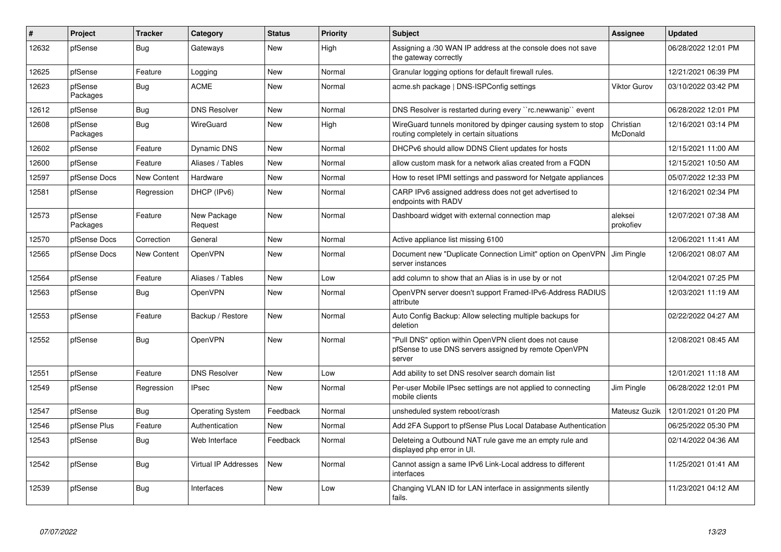| $\#$  | Project             | <b>Tracker</b>     | Category                    | <b>Status</b> | <b>Priority</b> | <b>Subject</b>                                                                                                            | Assignee              | <b>Updated</b>      |
|-------|---------------------|--------------------|-----------------------------|---------------|-----------------|---------------------------------------------------------------------------------------------------------------------------|-----------------------|---------------------|
| 12632 | pfSense             | <b>Bug</b>         | Gateways                    | <b>New</b>    | High            | Assigning a /30 WAN IP address at the console does not save<br>the gateway correctly                                      |                       | 06/28/2022 12:01 PM |
| 12625 | pfSense             | Feature            | Logging                     | New           | Normal          | Granular logging options for default firewall rules.                                                                      |                       | 12/21/2021 06:39 PM |
| 12623 | pfSense<br>Packages | Bug                | <b>ACME</b>                 | <b>New</b>    | Normal          | acme.sh package   DNS-ISPConfig settings                                                                                  | <b>Viktor Gurov</b>   | 03/10/2022 03:42 PM |
| 12612 | pfSense             | Bug                | <b>DNS Resolver</b>         | <b>New</b>    | Normal          | DNS Resolver is restarted during every "rc.newwanip" event                                                                |                       | 06/28/2022 12:01 PM |
| 12608 | pfSense<br>Packages | <b>Bug</b>         | WireGuard                   | New           | High            | WireGuard tunnels monitored by dpinger causing system to stop<br>routing completely in certain situations                 | Christian<br>McDonald | 12/16/2021 03:14 PM |
| 12602 | pfSense             | Feature            | <b>Dynamic DNS</b>          | New           | Normal          | DHCPv6 should allow DDNS Client updates for hosts                                                                         |                       | 12/15/2021 11:00 AM |
| 12600 | pfSense             | Feature            | Aliases / Tables            | <b>New</b>    | Normal          | allow custom mask for a network alias created from a FQDN                                                                 |                       | 12/15/2021 10:50 AM |
| 12597 | pfSense Docs        | <b>New Content</b> | Hardware                    | New           | Normal          | How to reset IPMI settings and password for Netgate appliances                                                            |                       | 05/07/2022 12:33 PM |
| 12581 | pfSense             | Regression         | DHCP (IPv6)                 | <b>New</b>    | Normal          | CARP IPv6 assigned address does not get advertised to<br>endpoints with RADV                                              |                       | 12/16/2021 02:34 PM |
| 12573 | pfSense<br>Packages | Feature            | New Package<br>Request      | <b>New</b>    | Normal          | Dashboard widget with external connection map                                                                             | aleksei<br>prokofiev  | 12/07/2021 07:38 AM |
| 12570 | pfSense Docs        | Correction         | General                     | <b>New</b>    | Normal          | Active appliance list missing 6100                                                                                        |                       | 12/06/2021 11:41 AM |
| 12565 | pfSense Docs        | <b>New Content</b> | OpenVPN                     | New           | Normal          | Document new "Duplicate Connection Limit" option on OpenVPN   Jim Pingle<br>server instances                              |                       | 12/06/2021 08:07 AM |
| 12564 | pfSense             | Feature            | Aliases / Tables            | New           | Low             | add column to show that an Alias is in use by or not                                                                      |                       | 12/04/2021 07:25 PM |
| 12563 | pfSense             | <b>Bug</b>         | OpenVPN                     | <b>New</b>    | Normal          | OpenVPN server doesn't support Framed-IPv6-Address RADIUS<br>attribute                                                    |                       | 12/03/2021 11:19 AM |
| 12553 | pfSense             | Feature            | Backup / Restore            | <b>New</b>    | Normal          | Auto Config Backup: Allow selecting multiple backups for<br>deletion                                                      |                       | 02/22/2022 04:27 AM |
| 12552 | pfSense             | <b>Bug</b>         | OpenVPN                     | <b>New</b>    | Normal          | "Pull DNS" option within OpenVPN client does not cause<br>pfSense to use DNS servers assigned by remote OpenVPN<br>server |                       | 12/08/2021 08:45 AM |
| 12551 | pfSense             | Feature            | <b>DNS Resolver</b>         | New           | Low             | Add ability to set DNS resolver search domain list                                                                        |                       | 12/01/2021 11:18 AM |
| 12549 | pfSense             | Regression         | <b>IPsec</b>                | <b>New</b>    | Normal          | Per-user Mobile IPsec settings are not applied to connecting<br>mobile clients                                            | Jim Pingle            | 06/28/2022 12:01 PM |
| 12547 | pfSense             | Bug                | <b>Operating System</b>     | Feedback      | Normal          | unsheduled system reboot/crash                                                                                            | Mateusz Guzik         | 12/01/2021 01:20 PM |
| 12546 | pfSense Plus        | Feature            | Authentication              | <b>New</b>    | Normal          | Add 2FA Support to pfSense Plus Local Database Authentication                                                             |                       | 06/25/2022 05:30 PM |
| 12543 | pfSense             | <b>Bug</b>         | Web Interface               | Feedback      | Normal          | Deleteing a Outbound NAT rule gave me an empty rule and<br>displayed php error in UI.                                     |                       | 02/14/2022 04:36 AM |
| 12542 | pfSense             | <b>Bug</b>         | <b>Virtual IP Addresses</b> | <b>New</b>    | Normal          | Cannot assign a same IPv6 Link-Local address to different<br>interfaces                                                   |                       | 11/25/2021 01:41 AM |
| 12539 | pfSense             | <b>Bug</b>         | Interfaces                  | <b>New</b>    | Low             | Changing VLAN ID for LAN interface in assignments silently<br>fails.                                                      |                       | 11/23/2021 04:12 AM |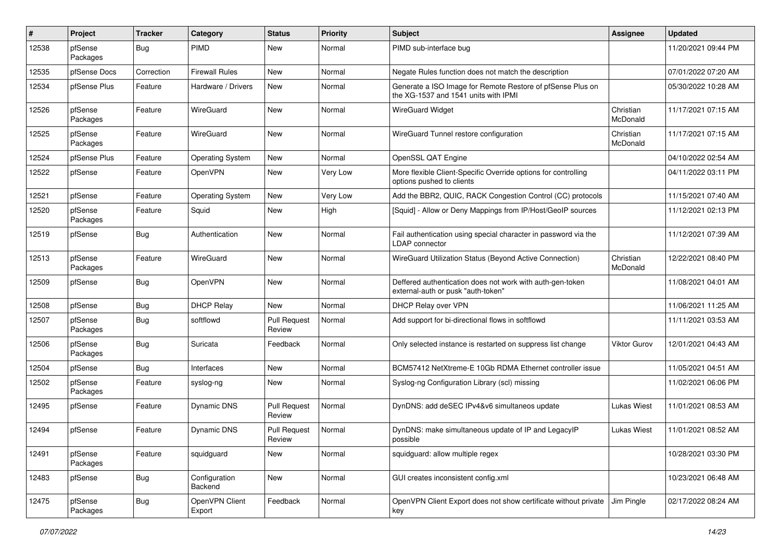| $\pmb{\#}$ | Project             | <b>Tracker</b> | Category                 | <b>Status</b>                 | <b>Priority</b> | Subject                                                                                            | <b>Assignee</b>       | <b>Updated</b>      |
|------------|---------------------|----------------|--------------------------|-------------------------------|-----------------|----------------------------------------------------------------------------------------------------|-----------------------|---------------------|
| 12538      | pfSense<br>Packages | <b>Bug</b>     | <b>PIMD</b>              | New                           | Normal          | PIMD sub-interface bug                                                                             |                       | 11/20/2021 09:44 PM |
| 12535      | pfSense Docs        | Correction     | <b>Firewall Rules</b>    | New                           | Normal          | Negate Rules function does not match the description                                               |                       | 07/01/2022 07:20 AM |
| 12534      | pfSense Plus        | Feature        | Hardware / Drivers       | New                           | Normal          | Generate a ISO Image for Remote Restore of pfSense Plus on<br>the XG-1537 and 1541 units with IPMI |                       | 05/30/2022 10:28 AM |
| 12526      | pfSense<br>Packages | Feature        | WireGuard                | New                           | Normal          | <b>WireGuard Widget</b>                                                                            | Christian<br>McDonald | 11/17/2021 07:15 AM |
| 12525      | pfSense<br>Packages | Feature        | WireGuard                | New                           | Normal          | WireGuard Tunnel restore configuration                                                             | Christian<br>McDonald | 11/17/2021 07:15 AM |
| 12524      | pfSense Plus        | Feature        | <b>Operating System</b>  | New                           | Normal          | OpenSSL QAT Engine                                                                                 |                       | 04/10/2022 02:54 AM |
| 12522      | pfSense             | Feature        | OpenVPN                  | New                           | Very Low        | More flexible Client-Specific Override options for controlling<br>options pushed to clients        |                       | 04/11/2022 03:11 PM |
| 12521      | pfSense             | Feature        | <b>Operating System</b>  | New                           | Very Low        | Add the BBR2, QUIC, RACK Congestion Control (CC) protocols                                         |                       | 11/15/2021 07:40 AM |
| 12520      | pfSense<br>Packages | Feature        | Squid                    | New                           | High            | [Squid] - Allow or Deny Mappings from IP/Host/GeoIP sources                                        |                       | 11/12/2021 02:13 PM |
| 12519      | pfSense             | Bug            | Authentication           | New                           | Normal          | Fail authentication using special character in password via the<br>LDAP connector                  |                       | 11/12/2021 07:39 AM |
| 12513      | pfSense<br>Packages | Feature        | WireGuard                | New                           | Normal          | WireGuard Utilization Status (Beyond Active Connection)                                            | Christian<br>McDonald | 12/22/2021 08:40 PM |
| 12509      | pfSense             | Bug            | OpenVPN                  | New                           | Normal          | Deffered authentication does not work with auth-gen-token<br>external-auth or pusk "auth-token"    |                       | 11/08/2021 04:01 AM |
| 12508      | pfSense             | <b>Bug</b>     | <b>DHCP Relay</b>        | New                           | Normal          | DHCP Relay over VPN                                                                                |                       | 11/06/2021 11:25 AM |
| 12507      | pfSense<br>Packages | <b>Bug</b>     | softflowd                | <b>Pull Request</b><br>Review | Normal          | Add support for bi-directional flows in softflowd                                                  |                       | 11/11/2021 03:53 AM |
| 12506      | pfSense<br>Packages | Bug            | Suricata                 | Feedback                      | Normal          | Only selected instance is restarted on suppress list change                                        | Viktor Gurov          | 12/01/2021 04:43 AM |
| 12504      | pfSense             | Bug            | Interfaces               | New                           | Normal          | BCM57412 NetXtreme-E 10Gb RDMA Ethernet controller issue                                           |                       | 11/05/2021 04:51 AM |
| 12502      | pfSense<br>Packages | Feature        | syslog-ng                | New                           | Normal          | Syslog-ng Configuration Library (scl) missing                                                      |                       | 11/02/2021 06:06 PM |
| 12495      | pfSense             | Feature        | Dynamic DNS              | <b>Pull Request</b><br>Review | Normal          | DynDNS: add deSEC IPv4&v6 simultaneos update                                                       | Lukas Wiest           | 11/01/2021 08:53 AM |
| 12494      | pfSense             | Feature        | Dynamic DNS              | <b>Pull Request</b><br>Review | Normal          | DynDNS: make simultaneous update of IP and LegacyIP<br>possible                                    | <b>Lukas Wiest</b>    | 11/01/2021 08:52 AM |
| 12491      | pfSense<br>Packages | Feature        | squidguard               | New                           | Normal          | squidguard: allow multiple regex                                                                   |                       | 10/28/2021 03:30 PM |
| 12483      | pfSense             | <b>Bug</b>     | Configuration<br>Backend | New                           | Normal          | GUI creates inconsistent config.xml                                                                |                       | 10/23/2021 06:48 AM |
| 12475      | pfSense<br>Packages | <b>Bug</b>     | OpenVPN Client<br>Export | Feedback                      | Normal          | OpenVPN Client Export does not show certificate without private<br>key                             | Jim Pingle            | 02/17/2022 08:24 AM |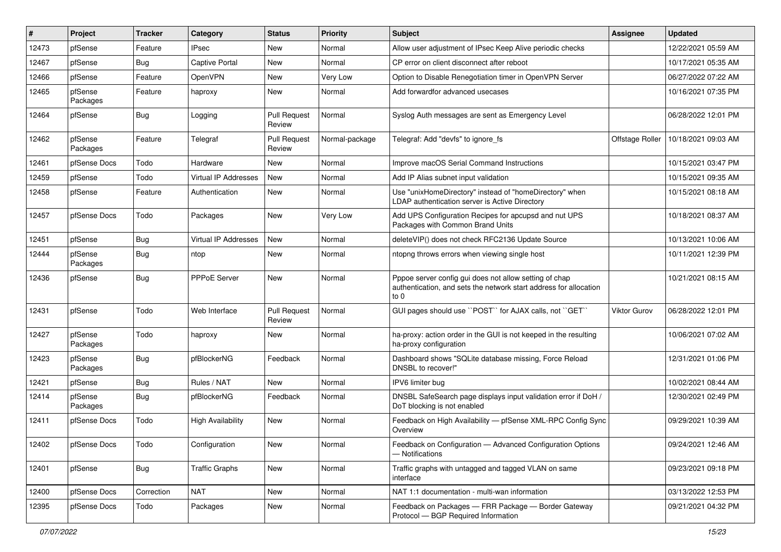| $\#$  | Project             | <b>Tracker</b> | Category                    | <b>Status</b>                 | Priority       | <b>Subject</b>                                                                                                                      | <b>Assignee</b>     | <b>Updated</b>      |
|-------|---------------------|----------------|-----------------------------|-------------------------------|----------------|-------------------------------------------------------------------------------------------------------------------------------------|---------------------|---------------------|
| 12473 | pfSense             | Feature        | <b>IPsec</b>                | New                           | Normal         | Allow user adjustment of IPsec Keep Alive periodic checks                                                                           |                     | 12/22/2021 05:59 AM |
| 12467 | pfSense             | Bug            | Captive Portal              | New                           | Normal         | CP error on client disconnect after reboot                                                                                          |                     | 10/17/2021 05:35 AM |
| 12466 | pfSense             | Feature        | OpenVPN                     | New                           | Very Low       | Option to Disable Renegotiation timer in OpenVPN Server                                                                             |                     | 06/27/2022 07:22 AM |
| 12465 | pfSense<br>Packages | Feature        | haproxy                     | <b>New</b>                    | Normal         | Add forwardfor advanced usecases                                                                                                    |                     | 10/16/2021 07:35 PM |
| 12464 | pfSense             | Bug            | Logging                     | <b>Pull Request</b><br>Review | Normal         | Syslog Auth messages are sent as Emergency Level                                                                                    |                     | 06/28/2022 12:01 PM |
| 12462 | pfSense<br>Packages | Feature        | Telegraf                    | <b>Pull Request</b><br>Review | Normal-package | Telegraf: Add "devfs" to ignore_fs                                                                                                  | Offstage Roller     | 10/18/2021 09:03 AM |
| 12461 | pfSense Docs        | Todo           | Hardware                    | New                           | Normal         | Improve macOS Serial Command Instructions                                                                                           |                     | 10/15/2021 03:47 PM |
| 12459 | pfSense             | Todo           | <b>Virtual IP Addresses</b> | <b>New</b>                    | Normal         | Add IP Alias subnet input validation                                                                                                |                     | 10/15/2021 09:35 AM |
| 12458 | pfSense             | Feature        | Authentication              | New                           | Normal         | Use "unixHomeDirectory" instead of "homeDirectory" when<br>LDAP authentication server is Active Directory                           |                     | 10/15/2021 08:18 AM |
| 12457 | pfSense Docs        | Todo           | Packages                    | New                           | Very Low       | Add UPS Configuration Recipes for apcupsd and nut UPS<br>Packages with Common Brand Units                                           |                     | 10/18/2021 08:37 AM |
| 12451 | pfSense             | Bug            | Virtual IP Addresses        | New                           | Normal         | deleteVIP() does not check RFC2136 Update Source                                                                                    |                     | 10/13/2021 10:06 AM |
| 12444 | pfSense<br>Packages | Bug            | ntop                        | New                           | Normal         | ntopng throws errors when viewing single host                                                                                       |                     | 10/11/2021 12:39 PM |
| 12436 | pfSense             | Bug            | <b>PPPoE Server</b>         | <b>New</b>                    | Normal         | Pppoe server config gui does not allow setting of chap<br>authentication, and sets the network start address for allocation<br>to 0 |                     | 10/21/2021 08:15 AM |
| 12431 | pfSense             | Todo           | Web Interface               | <b>Pull Request</b><br>Review | Normal         | GUI pages should use "POST" for AJAX calls, not "GET"                                                                               | <b>Viktor Gurov</b> | 06/28/2022 12:01 PM |
| 12427 | pfSense<br>Packages | Todo           | haproxy                     | <b>New</b>                    | Normal         | ha-proxy: action order in the GUI is not keeped in the resulting<br>ha-proxy configuration                                          |                     | 10/06/2021 07:02 AM |
| 12423 | pfSense<br>Packages | Bug            | pfBlockerNG                 | Feedback                      | Normal         | Dashboard shows "SQLite database missing, Force Reload<br>DNSBL to recover!"                                                        |                     | 12/31/2021 01:06 PM |
| 12421 | pfSense             | Bug            | Rules / NAT                 | <b>New</b>                    | Normal         | IPV6 limiter bug                                                                                                                    |                     | 10/02/2021 08:44 AM |
| 12414 | pfSense<br>Packages | Bug            | pfBlockerNG                 | Feedback                      | Normal         | DNSBL SafeSearch page displays input validation error if DoH /<br>DoT blocking is not enabled                                       |                     | 12/30/2021 02:49 PM |
| 12411 | pfSense Docs        | Todo           | <b>High Availability</b>    | New                           | Normal         | Feedback on High Availability - pfSense XML-RPC Config Sync<br>Overview                                                             |                     | 09/29/2021 10:39 AM |
| 12402 | pfSense Docs        | Todo           | Configuration               | New                           | Normal         | Feedback on Configuration - Advanced Configuration Options<br>- Notifications                                                       |                     | 09/24/2021 12:46 AM |
| 12401 | pfSense             | Bug            | <b>Traffic Graphs</b>       | New                           | Normal         | Traffic graphs with untagged and tagged VLAN on same<br>interface                                                                   |                     | 09/23/2021 09:18 PM |
| 12400 | pfSense Docs        | Correction     | <b>NAT</b>                  | New                           | Normal         | NAT 1:1 documentation - multi-wan information                                                                                       |                     | 03/13/2022 12:53 PM |
| 12395 | pfSense Docs        | Todo           | Packages                    | New                           | Normal         | Feedback on Packages - FRR Package - Border Gateway<br>Protocol - BGP Required Information                                          |                     | 09/21/2021 04:32 PM |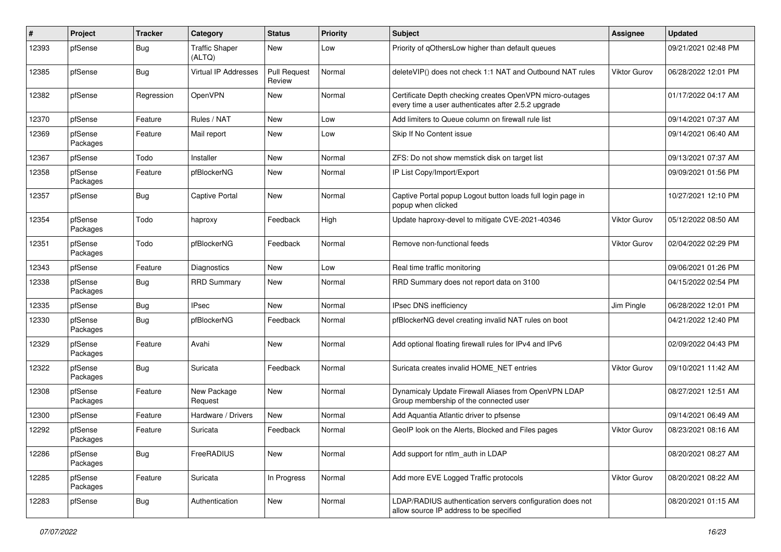| #     | Project             | <b>Tracker</b> | Category                        | <b>Status</b>                 | <b>Priority</b> | Subject                                                                                                         | Assignee            | <b>Updated</b>      |
|-------|---------------------|----------------|---------------------------------|-------------------------------|-----------------|-----------------------------------------------------------------------------------------------------------------|---------------------|---------------------|
| 12393 | pfSense             | <b>Bug</b>     | <b>Traffic Shaper</b><br>(ALTQ) | New                           | Low             | Priority of gOthersLow higher than default queues                                                               |                     | 09/21/2021 02:48 PM |
| 12385 | pfSense             | <b>Bug</b>     | Virtual IP Addresses            | <b>Pull Request</b><br>Review | Normal          | deleteVIP() does not check 1:1 NAT and Outbound NAT rules                                                       | Viktor Gurov        | 06/28/2022 12:01 PM |
| 12382 | pfSense             | Regression     | OpenVPN                         | New                           | Normal          | Certificate Depth checking creates OpenVPN micro-outages<br>every time a user authenticates after 2.5.2 upgrade |                     | 01/17/2022 04:17 AM |
| 12370 | pfSense             | Feature        | Rules / NAT                     | New                           | Low             | Add limiters to Queue column on firewall rule list                                                              |                     | 09/14/2021 07:37 AM |
| 12369 | pfSense<br>Packages | Feature        | Mail report                     | New                           | Low             | Skip If No Content issue                                                                                        |                     | 09/14/2021 06:40 AM |
| 12367 | pfSense             | Todo           | Installer                       | New                           | Normal          | ZFS: Do not show memstick disk on target list                                                                   |                     | 09/13/2021 07:37 AM |
| 12358 | pfSense<br>Packages | Feature        | pfBlockerNG                     | New                           | Normal          | IP List Copy/Import/Export                                                                                      |                     | 09/09/2021 01:56 PM |
| 12357 | pfSense             | <b>Bug</b>     | <b>Captive Portal</b>           | New                           | Normal          | Captive Portal popup Logout button loads full login page in<br>popup when clicked                               |                     | 10/27/2021 12:10 PM |
| 12354 | pfSense<br>Packages | Todo           | haproxy                         | Feedback                      | High            | Update haproxy-devel to mitigate CVE-2021-40346                                                                 | <b>Viktor Gurov</b> | 05/12/2022 08:50 AM |
| 12351 | pfSense<br>Packages | Todo           | pfBlockerNG                     | Feedback                      | Normal          | Remove non-functional feeds                                                                                     | Viktor Gurov        | 02/04/2022 02:29 PM |
| 12343 | pfSense             | Feature        | Diagnostics                     | <b>New</b>                    | Low             | Real time traffic monitoring                                                                                    |                     | 09/06/2021 01:26 PM |
| 12338 | pfSense<br>Packages | <b>Bug</b>     | <b>RRD Summary</b>              | New                           | Normal          | RRD Summary does not report data on 3100                                                                        |                     | 04/15/2022 02:54 PM |
| 12335 | pfSense             | <b>Bug</b>     | <b>IPsec</b>                    | New                           | Normal          | IPsec DNS inefficiency                                                                                          | Jim Pingle          | 06/28/2022 12:01 PM |
| 12330 | pfSense<br>Packages | <b>Bug</b>     | pfBlockerNG                     | Feedback                      | Normal          | pfBlockerNG devel creating invalid NAT rules on boot                                                            |                     | 04/21/2022 12:40 PM |
| 12329 | pfSense<br>Packages | Feature        | Avahi                           | New                           | Normal          | Add optional floating firewall rules for IPv4 and IPv6                                                          |                     | 02/09/2022 04:43 PM |
| 12322 | pfSense<br>Packages | <b>Bug</b>     | Suricata                        | Feedback                      | Normal          | Suricata creates invalid HOME_NET entries                                                                       | Viktor Gurov        | 09/10/2021 11:42 AM |
| 12308 | pfSense<br>Packages | Feature        | New Package<br>Request          | New                           | Normal          | Dynamicaly Update Firewall Aliases from OpenVPN LDAP<br>Group membership of the connected user                  |                     | 08/27/2021 12:51 AM |
| 12300 | pfSense             | Feature        | Hardware / Drivers              | <b>New</b>                    | Normal          | Add Aquantia Atlantic driver to pfsense                                                                         |                     | 09/14/2021 06:49 AM |
| 12292 | pfSense<br>Packages | Feature        | Suricata                        | Feedback                      | Normal          | GeoIP look on the Alerts, Blocked and Files pages                                                               | <b>Viktor Gurov</b> | 08/23/2021 08:16 AM |
| 12286 | pfSense<br>Packages | Bug            | FreeRADIUS                      | New                           | Normal          | Add support for ntlm auth in LDAP                                                                               |                     | 08/20/2021 08:27 AM |
| 12285 | pfSense<br>Packages | Feature        | Suricata                        | In Progress                   | Normal          | Add more EVE Logged Traffic protocols                                                                           | <b>Viktor Gurov</b> | 08/20/2021 08:22 AM |
| 12283 | pfSense             | Bug            | Authentication                  | New                           | Normal          | LDAP/RADIUS authentication servers configuration does not<br>allow source IP address to be specified            |                     | 08/20/2021 01:15 AM |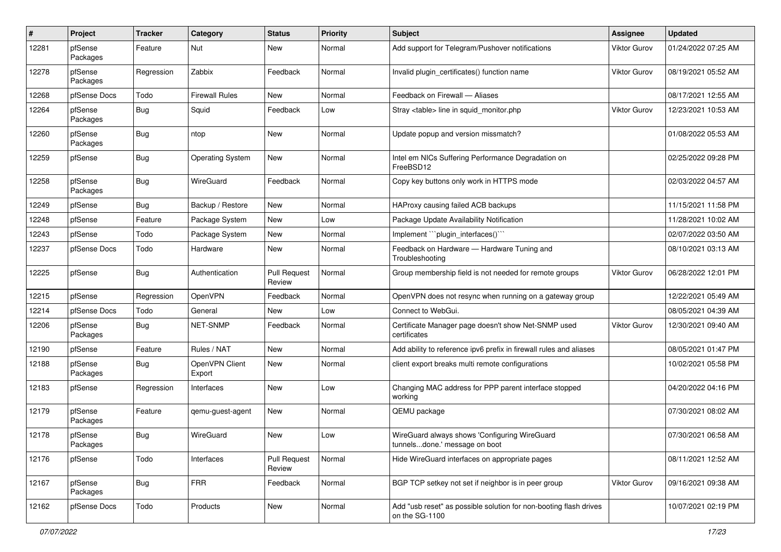| #     | Project             | <b>Tracker</b> | Category                 | <b>Status</b>                 | <b>Priority</b> | <b>Subject</b>                                                                      | Assignee            | <b>Updated</b>      |
|-------|---------------------|----------------|--------------------------|-------------------------------|-----------------|-------------------------------------------------------------------------------------|---------------------|---------------------|
| 12281 | pfSense<br>Packages | Feature        | Nut                      | New                           | Normal          | Add support for Telegram/Pushover notifications                                     | Viktor Gurov        | 01/24/2022 07:25 AM |
| 12278 | pfSense<br>Packages | Regression     | Zabbix                   | Feedback                      | Normal          | Invalid plugin_certificates() function name                                         | Viktor Gurov        | 08/19/2021 05:52 AM |
| 12268 | pfSense Docs        | Todo           | <b>Firewall Rules</b>    | New                           | Normal          | Feedback on Firewall - Aliases                                                      |                     | 08/17/2021 12:55 AM |
| 12264 | pfSense<br>Packages | Bug            | Squid                    | Feedback                      | Low             | Stray <table> line in squid monitor.php</table>                                     | <b>Viktor Gurov</b> | 12/23/2021 10:53 AM |
| 12260 | pfSense<br>Packages | <b>Bug</b>     | ntop                     | New                           | Normal          | Update popup and version missmatch?                                                 |                     | 01/08/2022 05:53 AM |
| 12259 | pfSense             | Bug            | <b>Operating System</b>  | New                           | Normal          | Intel em NICs Suffering Performance Degradation on<br>FreeBSD12                     |                     | 02/25/2022 09:28 PM |
| 12258 | pfSense<br>Packages | <b>Bug</b>     | WireGuard                | Feedback                      | Normal          | Copy key buttons only work in HTTPS mode                                            |                     | 02/03/2022 04:57 AM |
| 12249 | pfSense             | Bug            | Backup / Restore         | New                           | Normal          | HAProxy causing failed ACB backups                                                  |                     | 11/15/2021 11:58 PM |
| 12248 | pfSense             | Feature        | Package System           | New                           | Low             | Package Update Availability Notification                                            |                     | 11/28/2021 10:02 AM |
| 12243 | pfSense             | Todo           | Package System           | New                           | Normal          | Implement "plugin interfaces()"                                                     |                     | 02/07/2022 03:50 AM |
| 12237 | pfSense Docs        | Todo           | Hardware                 | New                           | Normal          | Feedback on Hardware - Hardware Tuning and<br>Troubleshooting                       |                     | 08/10/2021 03:13 AM |
| 12225 | pfSense             | <b>Bug</b>     | Authentication           | <b>Pull Request</b><br>Review | Normal          | Group membership field is not needed for remote groups                              | <b>Viktor Gurov</b> | 06/28/2022 12:01 PM |
| 12215 | pfSense             | Regression     | OpenVPN                  | Feedback                      | Normal          | OpenVPN does not resync when running on a gateway group                             |                     | 12/22/2021 05:49 AM |
| 12214 | pfSense Docs        | Todo           | General                  | New                           | Low             | Connect to WebGui.                                                                  |                     | 08/05/2021 04:39 AM |
| 12206 | pfSense<br>Packages | <b>Bug</b>     | NET-SNMP                 | Feedback                      | Normal          | Certificate Manager page doesn't show Net-SNMP used<br>certificates                 | Viktor Gurov        | 12/30/2021 09:40 AM |
| 12190 | pfSense             | Feature        | Rules / NAT              | New                           | Normal          | Add ability to reference ipv6 prefix in firewall rules and aliases                  |                     | 08/05/2021 01:47 PM |
| 12188 | pfSense<br>Packages | <b>Bug</b>     | OpenVPN Client<br>Export | New                           | Normal          | client export breaks multi remote configurations                                    |                     | 10/02/2021 05:58 PM |
| 12183 | pfSense             | Regression     | Interfaces               | New                           | Low             | Changing MAC address for PPP parent interface stopped<br>working                    |                     | 04/20/2022 04:16 PM |
| 12179 | pfSense<br>Packages | Feature        | qemu-guest-agent         | New                           | Normal          | QEMU package                                                                        |                     | 07/30/2021 08:02 AM |
| 12178 | pfSense<br>Packages | Bug            | WireGuard                | New                           | Low             | WireGuard always shows 'Configuring WireGuard<br>tunnelsdone.' message on boot      |                     | 07/30/2021 06:58 AM |
| 12176 | pfSense             | Todo           | Interfaces               | <b>Pull Request</b><br>Review | Normal          | Hide WireGuard interfaces on appropriate pages                                      |                     | 08/11/2021 12:52 AM |
| 12167 | pfSense<br>Packages | Bug            | <b>FRR</b>               | Feedback                      | Normal          | BGP TCP setkey not set if neighbor is in peer group                                 | Viktor Gurov        | 09/16/2021 09:38 AM |
| 12162 | pfSense Docs        | Todo           | Products                 | New                           | Normal          | Add "usb reset" as possible solution for non-booting flash drives<br>on the SG-1100 |                     | 10/07/2021 02:19 PM |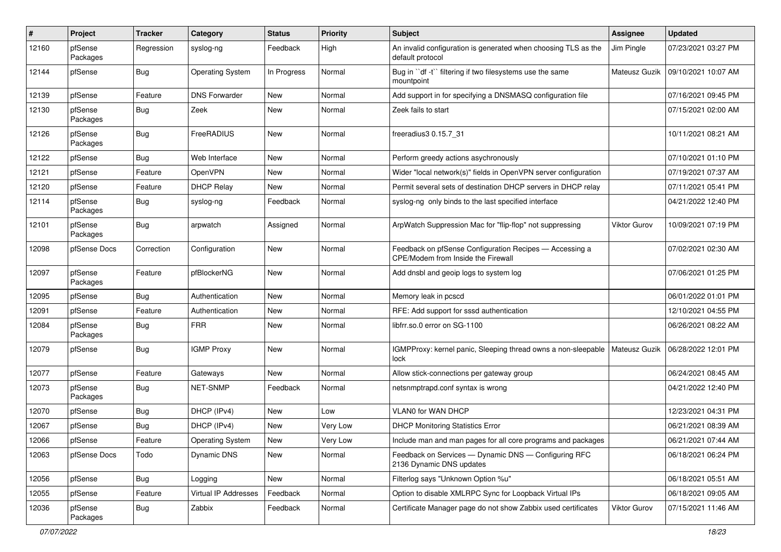| #     | Project             | <b>Tracker</b> | Category                | <b>Status</b> | <b>Priority</b> | Subject                                                                                       | Assignee            | <b>Updated</b>      |
|-------|---------------------|----------------|-------------------------|---------------|-----------------|-----------------------------------------------------------------------------------------------|---------------------|---------------------|
| 12160 | pfSense<br>Packages | Regression     | syslog-ng               | Feedback      | High            | An invalid configuration is generated when choosing TLS as the<br>default protocol            | Jim Pingle          | 07/23/2021 03:27 PM |
| 12144 | pfSense             | <b>Bug</b>     | <b>Operating System</b> | In Progress   | Normal          | Bug in "df -t" filtering if two filesystems use the same<br>mountpoint                        | Mateusz Guzik       | 09/10/2021 10:07 AM |
| 12139 | pfSense             | Feature        | <b>DNS Forwarder</b>    | New           | Normal          | Add support in for specifying a DNSMASQ configuration file                                    |                     | 07/16/2021 09:45 PM |
| 12130 | pfSense<br>Packages | <b>Bug</b>     | Zeek                    | New           | Normal          | Zeek fails to start                                                                           |                     | 07/15/2021 02:00 AM |
| 12126 | pfSense<br>Packages | Bug            | FreeRADIUS              | New           | Normal          | freeradius3 0.15.7 31                                                                         |                     | 10/11/2021 08:21 AM |
| 12122 | pfSense             | Bug            | Web Interface           | New           | Normal          | Perform greedy actions asychronously                                                          |                     | 07/10/2021 01:10 PM |
| 12121 | pfSense             | Feature        | OpenVPN                 | New           | Normal          | Wider "local network(s)" fields in OpenVPN server configuration                               |                     | 07/19/2021 07:37 AM |
| 12120 | pfSense             | Feature        | <b>DHCP Relay</b>       | New           | Normal          | Permit several sets of destination DHCP servers in DHCP relay                                 |                     | 07/11/2021 05:41 PM |
| 12114 | pfSense<br>Packages | <b>Bug</b>     | syslog-ng               | Feedback      | Normal          | syslog-ng only binds to the last specified interface                                          |                     | 04/21/2022 12:40 PM |
| 12101 | pfSense<br>Packages | <b>Bug</b>     | arpwatch                | Assigned      | Normal          | ArpWatch Suppression Mac for "flip-flop" not suppressing                                      | <b>Viktor Gurov</b> | 10/09/2021 07:19 PM |
| 12098 | pfSense Docs        | Correction     | Configuration           | New           | Normal          | Feedback on pfSense Configuration Recipes - Accessing a<br>CPE/Modem from Inside the Firewall |                     | 07/02/2021 02:30 AM |
| 12097 | pfSense<br>Packages | Feature        | pfBlockerNG             | New           | Normal          | Add dnsbl and geoip logs to system log                                                        |                     | 07/06/2021 01:25 PM |
| 12095 | pfSense             | <b>Bug</b>     | Authentication          | New           | Normal          | Memory leak in pcscd                                                                          |                     | 06/01/2022 01:01 PM |
| 12091 | pfSense             | Feature        | Authentication          | New           | Normal          | RFE: Add support for sssd authentication                                                      |                     | 12/10/2021 04:55 PM |
| 12084 | pfSense<br>Packages | Bug            | <b>FRR</b>              | New           | Normal          | libfrr.so.0 error on SG-1100                                                                  |                     | 06/26/2021 08:22 AM |
| 12079 | pfSense             | <b>Bug</b>     | <b>IGMP Proxy</b>       | New           | Normal          | IGMPProxy: kernel panic, Sleeping thread owns a non-sleepable<br>lock                         | Mateusz Guzik       | 06/28/2022 12:01 PM |
| 12077 | pfSense             | Feature        | Gateways                | New           | Normal          | Allow stick-connections per gateway group                                                     |                     | 06/24/2021 08:45 AM |
| 12073 | pfSense<br>Packages | <b>Bug</b>     | <b>NET-SNMP</b>         | Feedback      | Normal          | netsnmptrapd.conf syntax is wrong                                                             |                     | 04/21/2022 12:40 PM |
| 12070 | pfSense             | <b>Bug</b>     | DHCP (IPv4)             | New           | Low             | <b>VLAN0 for WAN DHCP</b>                                                                     |                     | 12/23/2021 04:31 PM |
| 12067 | pfSense             | Bug            | DHCP (IPv4)             | New           | Very Low        | <b>DHCP Monitoring Statistics Error</b>                                                       |                     | 06/21/2021 08:39 AM |
| 12066 | pfSense             | Feature        | <b>Operating System</b> | New           | Very Low        | Include man and man pages for all core programs and packages                                  |                     | 06/21/2021 07:44 AM |
| 12063 | pfSense Docs        | Todo           | Dynamic DNS             | New           | Normal          | Feedback on Services - Dynamic DNS - Configuring RFC<br>2136 Dynamic DNS updates              |                     | 06/18/2021 06:24 PM |
| 12056 | pfSense             | <b>Bug</b>     | Logging                 | New           | Normal          | Filterlog says "Unknown Option %u"                                                            |                     | 06/18/2021 05:51 AM |
| 12055 | pfSense             | Feature        | Virtual IP Addresses    | Feedback      | Normal          | Option to disable XMLRPC Sync for Loopback Virtual IPs                                        |                     | 06/18/2021 09:05 AM |
| 12036 | pfSense<br>Packages | <b>Bug</b>     | Zabbix                  | Feedback      | Normal          | Certificate Manager page do not show Zabbix used certificates                                 | <b>Viktor Gurov</b> | 07/15/2021 11:46 AM |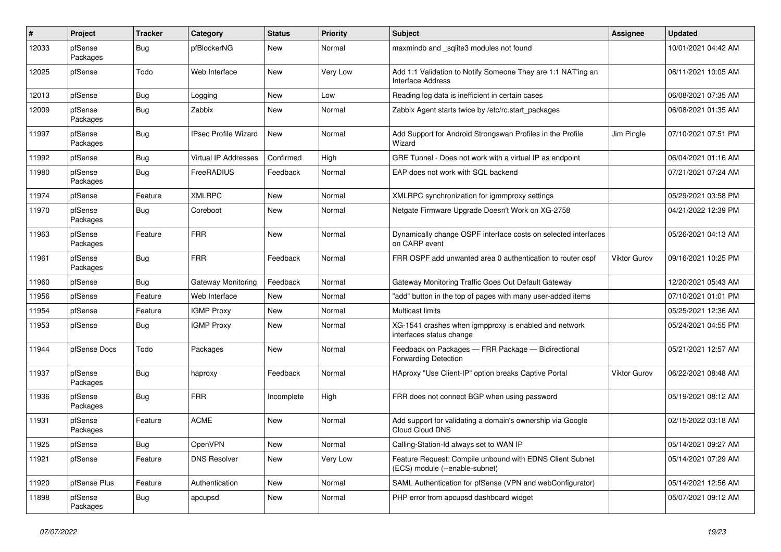| #     | Project             | <b>Tracker</b> | Category                    | <b>Status</b> | <b>Priority</b> | Subject                                                                                    | Assignee            | <b>Updated</b>      |
|-------|---------------------|----------------|-----------------------------|---------------|-----------------|--------------------------------------------------------------------------------------------|---------------------|---------------------|
| 12033 | pfSense<br>Packages | <b>Bug</b>     | pfBlockerNG                 | <b>New</b>    | Normal          | maxmindb and _sqlite3 modules not found                                                    |                     | 10/01/2021 04:42 AM |
| 12025 | pfSense             | Todo           | Web Interface               | New           | Very Low        | Add 1:1 Validation to Notify Someone They are 1:1 NAT'ing an<br>Interface Address          |                     | 06/11/2021 10:05 AM |
| 12013 | pfSense             | <b>Bug</b>     | Logging                     | New           | Low             | Reading log data is inefficient in certain cases                                           |                     | 06/08/2021 07:35 AM |
| 12009 | pfSense<br>Packages | <b>Bug</b>     | Zabbix                      | New           | Normal          | Zabbix Agent starts twice by /etc/rc.start_packages                                        |                     | 06/08/2021 01:35 AM |
| 11997 | pfSense<br>Packages | <b>Bug</b>     | <b>IPsec Profile Wizard</b> | New           | Normal          | Add Support for Android Strongswan Profiles in the Profile<br>Wizard                       | Jim Pingle          | 07/10/2021 07:51 PM |
| 11992 | pfSense             | <b>Bug</b>     | Virtual IP Addresses        | Confirmed     | High            | GRE Tunnel - Does not work with a virtual IP as endpoint                                   |                     | 06/04/2021 01:16 AM |
| 11980 | pfSense<br>Packages | Bug            | FreeRADIUS                  | Feedback      | Normal          | EAP does not work with SQL backend                                                         |                     | 07/21/2021 07:24 AM |
| 11974 | pfSense             | Feature        | <b>XMLRPC</b>               | New           | Normal          | XMLRPC synchronization for igmmproxy settings                                              |                     | 05/29/2021 03:58 PM |
| 11970 | pfSense<br>Packages | <b>Bug</b>     | Coreboot                    | New           | Normal          | Netgate Firmware Upgrade Doesn't Work on XG-2758                                           |                     | 04/21/2022 12:39 PM |
| 11963 | pfSense<br>Packages | Feature        | <b>FRR</b>                  | <b>New</b>    | Normal          | Dynamically change OSPF interface costs on selected interfaces<br>on CARP event            |                     | 05/26/2021 04:13 AM |
| 11961 | pfSense<br>Packages | <b>Bug</b>     | <b>FRR</b>                  | Feedback      | Normal          | FRR OSPF add unwanted area 0 authentication to router ospf                                 | <b>Viktor Gurov</b> | 09/16/2021 10:25 PM |
| 11960 | pfSense             | <b>Bug</b>     | Gateway Monitoring          | Feedback      | Normal          | Gateway Monitoring Traffic Goes Out Default Gateway                                        |                     | 12/20/2021 05:43 AM |
| 11956 | pfSense             | Feature        | Web Interface               | New           | Normal          | "add" button in the top of pages with many user-added items                                |                     | 07/10/2021 01:01 PM |
| 11954 | pfSense             | Feature        | <b>IGMP Proxy</b>           | New           | Normal          | <b>Multicast limits</b>                                                                    |                     | 05/25/2021 12:36 AM |
| 11953 | pfSense             | <b>Bug</b>     | <b>IGMP Proxy</b>           | New           | Normal          | XG-1541 crashes when igmpproxy is enabled and network<br>interfaces status change          |                     | 05/24/2021 04:55 PM |
| 11944 | pfSense Docs        | Todo           | Packages                    | New           | Normal          | Feedback on Packages - FRR Package - Bidirectional<br><b>Forwarding Detection</b>          |                     | 05/21/2021 12:57 AM |
| 11937 | pfSense<br>Packages | Bug            | haproxy                     | Feedback      | Normal          | HAproxy "Use Client-IP" option breaks Captive Portal                                       | Viktor Gurov        | 06/22/2021 08:48 AM |
| 11936 | pfSense<br>Packages | <b>Bug</b>     | <b>FRR</b>                  | Incomplete    | High            | FRR does not connect BGP when using password                                               |                     | 05/19/2021 08:12 AM |
| 11931 | pfSense<br>Packages | Feature        | <b>ACME</b>                 | <b>New</b>    | Normal          | Add support for validating a domain's ownership via Google<br>Cloud Cloud DNS              |                     | 02/15/2022 03:18 AM |
| 11925 | pfSense             | Bug            | OpenVPN                     | New           | Normal          | Calling-Station-Id always set to WAN IP                                                    |                     | 05/14/2021 09:27 AM |
| 11921 | pfSense             | Feature        | <b>DNS Resolver</b>         | New           | Very Low        | Feature Request: Compile unbound with EDNS Client Subnet<br>(ECS) module (--enable-subnet) |                     | 05/14/2021 07:29 AM |
| 11920 | pfSense Plus        | Feature        | Authentication              | New           | Normal          | SAML Authentication for pfSense (VPN and webConfigurator)                                  |                     | 05/14/2021 12:56 AM |
| 11898 | pfSense<br>Packages | <b>Bug</b>     | apcupsd                     | New           | Normal          | PHP error from apcupsd dashboard widget                                                    |                     | 05/07/2021 09:12 AM |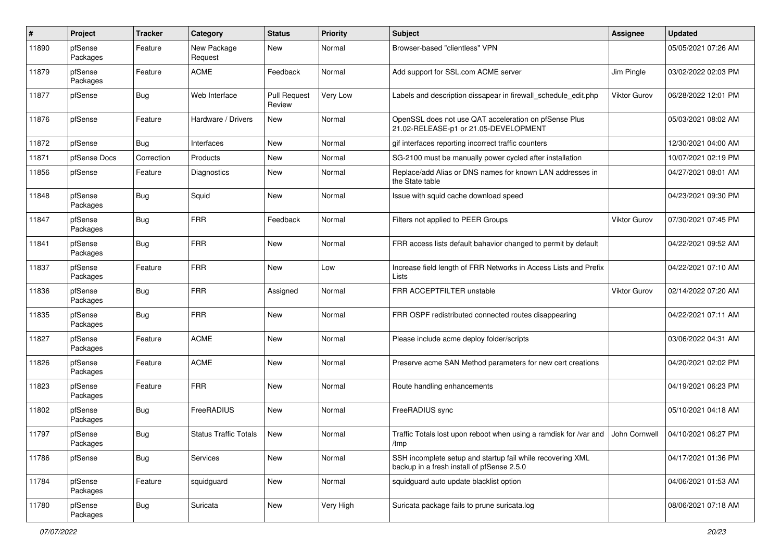| #     | Project             | <b>Tracker</b> | Category                     | <b>Status</b>                 | <b>Priority</b> | Subject                                                                                                  | Assignee            | <b>Updated</b>      |
|-------|---------------------|----------------|------------------------------|-------------------------------|-----------------|----------------------------------------------------------------------------------------------------------|---------------------|---------------------|
| 11890 | pfSense<br>Packages | Feature        | New Package<br>Request       | New                           | Normal          | Browser-based "clientless" VPN                                                                           |                     | 05/05/2021 07:26 AM |
| 11879 | pfSense<br>Packages | Feature        | <b>ACME</b>                  | Feedback                      | Normal          | Add support for SSL.com ACME server                                                                      | Jim Pingle          | 03/02/2022 02:03 PM |
| 11877 | pfSense             | <b>Bug</b>     | Web Interface                | <b>Pull Request</b><br>Review | Very Low        | Labels and description dissapear in firewall schedule edit.php                                           | <b>Viktor Gurov</b> | 06/28/2022 12:01 PM |
| 11876 | pfSense             | Feature        | Hardware / Drivers           | New                           | Normal          | OpenSSL does not use QAT acceleration on pfSense Plus<br>21.02-RELEASE-p1 or 21.05-DEVELOPMENT           |                     | 05/03/2021 08:02 AM |
| 11872 | pfSense             | Bug            | Interfaces                   | New                           | Normal          | gif interfaces reporting incorrect traffic counters                                                      |                     | 12/30/2021 04:00 AM |
| 11871 | pfSense Docs        | Correction     | Products                     | New                           | Normal          | SG-2100 must be manually power cycled after installation                                                 |                     | 10/07/2021 02:19 PM |
| 11856 | pfSense             | Feature        | Diagnostics                  | New                           | Normal          | Replace/add Alias or DNS names for known LAN addresses in<br>the State table                             |                     | 04/27/2021 08:01 AM |
| 11848 | pfSense<br>Packages | Bug            | Squid                        | New                           | Normal          | Issue with squid cache download speed                                                                    |                     | 04/23/2021 09:30 PM |
| 11847 | pfSense<br>Packages | <b>Bug</b>     | <b>FRR</b>                   | Feedback                      | Normal          | Filters not applied to PEER Groups                                                                       | Viktor Gurov        | 07/30/2021 07:45 PM |
| 11841 | pfSense<br>Packages | <b>Bug</b>     | <b>FRR</b>                   | New                           | Normal          | FRR access lists default bahavior changed to permit by default                                           |                     | 04/22/2021 09:52 AM |
| 11837 | pfSense<br>Packages | Feature        | <b>FRR</b>                   | <b>New</b>                    | Low             | Increase field length of FRR Networks in Access Lists and Prefix<br>Lists                                |                     | 04/22/2021 07:10 AM |
| 11836 | pfSense<br>Packages | <b>Bug</b>     | <b>FRR</b>                   | Assigned                      | Normal          | FRR ACCEPTFILTER unstable                                                                                | <b>Viktor Gurov</b> | 02/14/2022 07:20 AM |
| 11835 | pfSense<br>Packages | <b>Bug</b>     | <b>FRR</b>                   | New                           | Normal          | FRR OSPF redistributed connected routes disappearing                                                     |                     | 04/22/2021 07:11 AM |
| 11827 | pfSense<br>Packages | Feature        | <b>ACME</b>                  | New                           | Normal          | Please include acme deploy folder/scripts                                                                |                     | 03/06/2022 04:31 AM |
| 11826 | pfSense<br>Packages | Feature        | <b>ACME</b>                  | New                           | Normal          | Preserve acme SAN Method parameters for new cert creations                                               |                     | 04/20/2021 02:02 PM |
| 11823 | pfSense<br>Packages | Feature        | <b>FRR</b>                   | New                           | Normal          | Route handling enhancements                                                                              |                     | 04/19/2021 06:23 PM |
| 11802 | pfSense<br>Packages | <b>Bug</b>     | FreeRADIUS                   | New                           | Normal          | FreeRADIUS sync                                                                                          |                     | 05/10/2021 04:18 AM |
| 11797 | pfSense<br>Packages | <b>Bug</b>     | <b>Status Traffic Totals</b> | New                           | Normal          | Traffic Totals lost upon reboot when using a ramdisk for /var and John Cornwell<br>/tmp                  |                     | 04/10/2021 06:27 PM |
| 11786 | pfSense             | Bug            | Services                     | New                           | Normal          | SSH incomplete setup and startup fail while recovering XML<br>backup in a fresh install of pfSense 2.5.0 |                     | 04/17/2021 01:36 PM |
| 11784 | pfSense<br>Packages | Feature        | squidguard                   | New                           | Normal          | squidguard auto update blacklist option                                                                  |                     | 04/06/2021 01:53 AM |
| 11780 | pfSense<br>Packages | <b>Bug</b>     | Suricata                     | New                           | Very High       | Suricata package fails to prune suricata.log                                                             |                     | 08/06/2021 07:18 AM |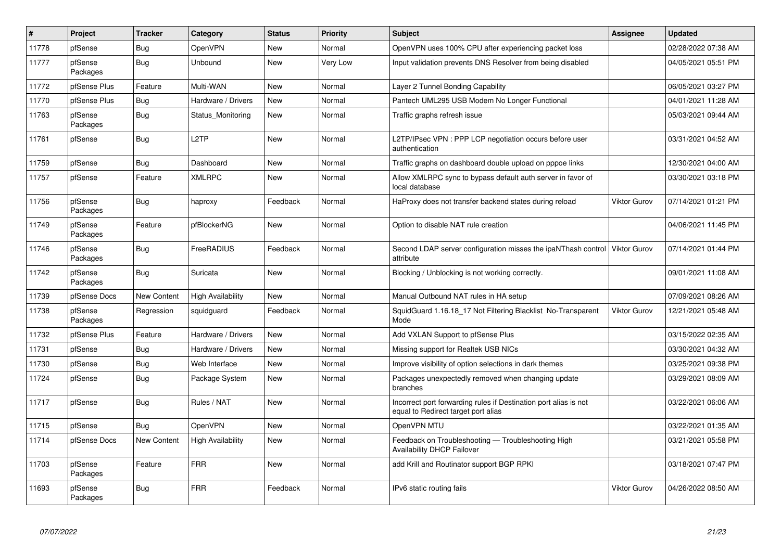| $\vert$ # | Project             | <b>Tracker</b>     | Category                 | <b>Status</b> | <b>Priority</b> | <b>Subject</b>                                                                                          | Assignee            | <b>Updated</b>      |
|-----------|---------------------|--------------------|--------------------------|---------------|-----------------|---------------------------------------------------------------------------------------------------------|---------------------|---------------------|
| 11778     | pfSense             | Bug                | OpenVPN                  | <b>New</b>    | Normal          | OpenVPN uses 100% CPU after experiencing packet loss                                                    |                     | 02/28/2022 07:38 AM |
| 11777     | pfSense<br>Packages | Bug                | <b>Unbound</b>           | New           | Very Low        | Input validation prevents DNS Resolver from being disabled                                              |                     | 04/05/2021 05:51 PM |
| 11772     | pfSense Plus        | Feature            | Multi-WAN                | <b>New</b>    | Normal          | Layer 2 Tunnel Bonding Capability                                                                       |                     | 06/05/2021 03:27 PM |
| 11770     | pfSense Plus        | <b>Bug</b>         | Hardware / Drivers       | New           | Normal          | Pantech UML295 USB Modem No Longer Functional                                                           |                     | 04/01/2021 11:28 AM |
| 11763     | pfSense<br>Packages | <b>Bug</b>         | Status Monitoring        | <b>New</b>    | Normal          | Traffic graphs refresh issue                                                                            |                     | 05/03/2021 09:44 AM |
| 11761     | pfSense             | Bug                | L <sub>2</sub> TP        | <b>New</b>    | Normal          | L2TP/IPsec VPN: PPP LCP negotiation occurs before user<br>authentication                                |                     | 03/31/2021 04:52 AM |
| 11759     | pfSense             | Bug                | Dashboard                | <b>New</b>    | Normal          | Traffic graphs on dashboard double upload on pppoe links                                                |                     | 12/30/2021 04:00 AM |
| 11757     | pfSense             | Feature            | <b>XMLRPC</b>            | New           | Normal          | Allow XMLRPC sync to bypass default auth server in favor of<br>local database                           |                     | 03/30/2021 03:18 PM |
| 11756     | pfSense<br>Packages | Bug                | haproxy                  | Feedback      | Normal          | HaProxy does not transfer backend states during reload                                                  | <b>Viktor Gurov</b> | 07/14/2021 01:21 PM |
| 11749     | pfSense<br>Packages | Feature            | pfBlockerNG              | New           | Normal          | Option to disable NAT rule creation                                                                     |                     | 04/06/2021 11:45 PM |
| 11746     | pfSense<br>Packages | Bug                | FreeRADIUS               | Feedback      | Normal          | Second LDAP server configuration misses the ipaNThash control<br>attribute                              | Viktor Gurov        | 07/14/2021 01:44 PM |
| 11742     | pfSense<br>Packages | <b>Bug</b>         | Suricata                 | New           | Normal          | Blocking / Unblocking is not working correctly.                                                         |                     | 09/01/2021 11:08 AM |
| 11739     | pfSense Docs        | New Content        | <b>High Availability</b> | New           | Normal          | Manual Outbound NAT rules in HA setup                                                                   |                     | 07/09/2021 08:26 AM |
| 11738     | pfSense<br>Packages | Regression         | squidguard               | Feedback      | Normal          | SquidGuard 1.16.18_17 Not Filtering Blacklist No-Transparent<br>Mode                                    | <b>Viktor Gurov</b> | 12/21/2021 05:48 AM |
| 11732     | pfSense Plus        | Feature            | Hardware / Drivers       | New           | Normal          | Add VXLAN Support to pfSense Plus                                                                       |                     | 03/15/2022 02:35 AM |
| 11731     | pfSense             | <b>Bug</b>         | Hardware / Drivers       | <b>New</b>    | Normal          | Missing support for Realtek USB NICs                                                                    |                     | 03/30/2021 04:32 AM |
| 11730     | pfSense             | <b>Bug</b>         | Web Interface            | <b>New</b>    | Normal          | Improve visibility of option selections in dark themes                                                  |                     | 03/25/2021 09:38 PM |
| 11724     | pfSense             | Bug                | Package System           | New           | Normal          | Packages unexpectedly removed when changing update<br>branches                                          |                     | 03/29/2021 08:09 AM |
| 11717     | pfSense             | Bug                | Rules / NAT              | New           | Normal          | Incorrect port forwarding rules if Destination port alias is not<br>equal to Redirect target port alias |                     | 03/22/2021 06:06 AM |
| 11715     | pfSense             | <b>Bug</b>         | <b>OpenVPN</b>           | <b>New</b>    | Normal          | OpenVPN MTU                                                                                             |                     | 03/22/2021 01:35 AM |
| 11714     | pfSense Docs        | <b>New Content</b> | <b>High Availability</b> | <b>New</b>    | Normal          | Feedback on Troubleshooting - Troubleshooting High<br><b>Availability DHCP Failover</b>                 |                     | 03/21/2021 05:58 PM |
| 11703     | pfSense<br>Packages | Feature            | <b>FRR</b>               | <b>New</b>    | Normal          | add Krill and Routinator support BGP RPKI                                                               |                     | 03/18/2021 07:47 PM |
| 11693     | pfSense<br>Packages | <b>Bug</b>         | <b>FRR</b>               | Feedback      | Normal          | IPv6 static routing fails                                                                               | <b>Viktor Gurov</b> | 04/26/2022 08:50 AM |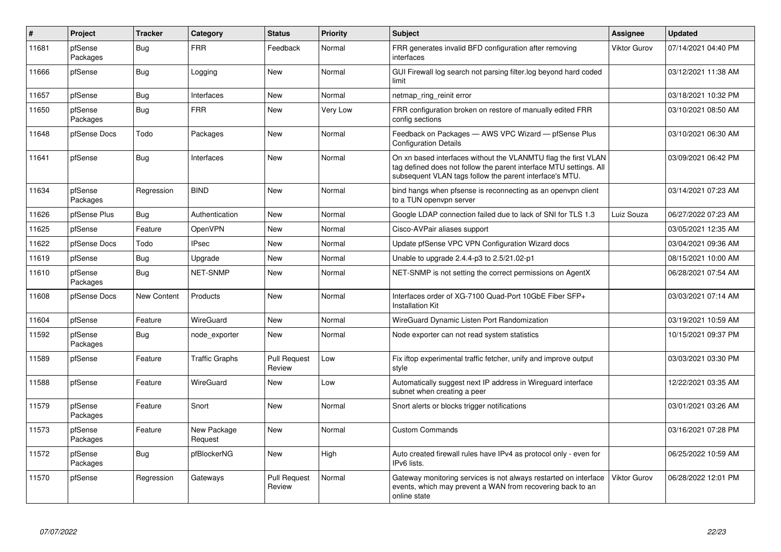| $\vert$ # | Project             | <b>Tracker</b> | Category               | <b>Status</b>                 | <b>Priority</b> | <b>Subject</b>                                                                                                                                                                                  | Assignee            | <b>Updated</b>      |
|-----------|---------------------|----------------|------------------------|-------------------------------|-----------------|-------------------------------------------------------------------------------------------------------------------------------------------------------------------------------------------------|---------------------|---------------------|
| 11681     | pfSense<br>Packages | <b>Bug</b>     | <b>FRR</b>             | Feedback                      | Normal          | FRR generates invalid BFD configuration after removing<br>interfaces                                                                                                                            | <b>Viktor Gurov</b> | 07/14/2021 04:40 PM |
| 11666     | pfSense             | <b>Bug</b>     | Logging                | <b>New</b>                    | Normal          | GUI Firewall log search not parsing filter.log beyond hard coded<br>limit                                                                                                                       |                     | 03/12/2021 11:38 AM |
| 11657     | pfSense             | <b>Bug</b>     | Interfaces             | New                           | Normal          | netmap ring reinit error                                                                                                                                                                        |                     | 03/18/2021 10:32 PM |
| 11650     | pfSense<br>Packages | Bug            | <b>FRR</b>             | New                           | Very Low        | FRR configuration broken on restore of manually edited FRR<br>config sections                                                                                                                   |                     | 03/10/2021 08:50 AM |
| 11648     | pfSense Docs        | Todo           | Packages               | <b>New</b>                    | Normal          | Feedback on Packages - AWS VPC Wizard - pfSense Plus<br><b>Configuration Details</b>                                                                                                            |                     | 03/10/2021 06:30 AM |
| 11641     | pfSense             | <b>Bug</b>     | Interfaces             | <b>New</b>                    | Normal          | On xn based interfaces without the VLANMTU flag the first VLAN<br>tag defined does not follow the parent interface MTU settings. All<br>subsequent VLAN tags follow the parent interface's MTU. |                     | 03/09/2021 06:42 PM |
| 11634     | pfSense<br>Packages | Regression     | <b>BIND</b>            | <b>New</b>                    | Normal          | bind hangs when pfsense is reconnecting as an openvpn client<br>to a TUN openvpn server                                                                                                         |                     | 03/14/2021 07:23 AM |
| 11626     | pfSense Plus        | Bug            | Authentication         | New                           | Normal          | Google LDAP connection failed due to lack of SNI for TLS 1.3                                                                                                                                    | Luiz Souza          | 06/27/2022 07:23 AM |
| 11625     | pfSense             | Feature        | OpenVPN                | <b>New</b>                    | Normal          | Cisco-AVPair aliases support                                                                                                                                                                    |                     | 03/05/2021 12:35 AM |
| 11622     | pfSense Docs        | Todo           | <b>IPsec</b>           | New                           | Normal          | Update pfSense VPC VPN Configuration Wizard docs                                                                                                                                                |                     | 03/04/2021 09:36 AM |
| 11619     | pfSense             | <b>Bug</b>     | Upgrade                | <b>New</b>                    | Normal          | Unable to upgrade 2.4.4-p3 to 2.5/21.02-p1                                                                                                                                                      |                     | 08/15/2021 10:00 AM |
| 11610     | pfSense<br>Packages | Bug            | <b>NET-SNMP</b>        | New                           | Normal          | NET-SNMP is not setting the correct permissions on AgentX                                                                                                                                       |                     | 06/28/2021 07:54 AM |
| 11608     | pfSense Docs        | New Content    | Products               | <b>New</b>                    | Normal          | Interfaces order of XG-7100 Quad-Port 10GbE Fiber SFP+<br>Installation Kit                                                                                                                      |                     | 03/03/2021 07:14 AM |
| 11604     | pfSense             | Feature        | WireGuard              | New                           | Normal          | WireGuard Dynamic Listen Port Randomization                                                                                                                                                     |                     | 03/19/2021 10:59 AM |
| 11592     | pfSense<br>Packages | Bug            | node exporter          | <b>New</b>                    | Normal          | Node exporter can not read system statistics                                                                                                                                                    |                     | 10/15/2021 09:37 PM |
| 11589     | pfSense             | Feature        | <b>Traffic Graphs</b>  | <b>Pull Request</b><br>Review | Low             | Fix iftop experimental traffic fetcher, unify and improve output<br>style                                                                                                                       |                     | 03/03/2021 03:30 PM |
| 11588     | pfSense             | Feature        | WireGuard              | <b>New</b>                    | Low             | Automatically suggest next IP address in Wireguard interface<br>subnet when creating a peer                                                                                                     |                     | 12/22/2021 03:35 AM |
| 11579     | pfSense<br>Packages | Feature        | Snort                  | <b>New</b>                    | Normal          | Snort alerts or blocks trigger notifications                                                                                                                                                    |                     | 03/01/2021 03:26 AM |
| 11573     | pfSense<br>Packages | Feature        | New Package<br>Request | <b>New</b>                    | Normal          | <b>Custom Commands</b>                                                                                                                                                                          |                     | 03/16/2021 07:28 PM |
| 11572     | pfSense<br>Packages | <b>Bug</b>     | pfBlockerNG            | <b>New</b>                    | High            | Auto created firewall rules have IPv4 as protocol only - even for<br>IPv6 lists.                                                                                                                |                     | 06/25/2022 10:59 AM |
| 11570     | pfSense             | Regression     | Gateways               | <b>Pull Request</b><br>Review | Normal          | Gateway monitoring services is not always restarted on interface<br>events, which may prevent a WAN from recovering back to an<br>online state                                                  | <b>Viktor Gurov</b> | 06/28/2022 12:01 PM |